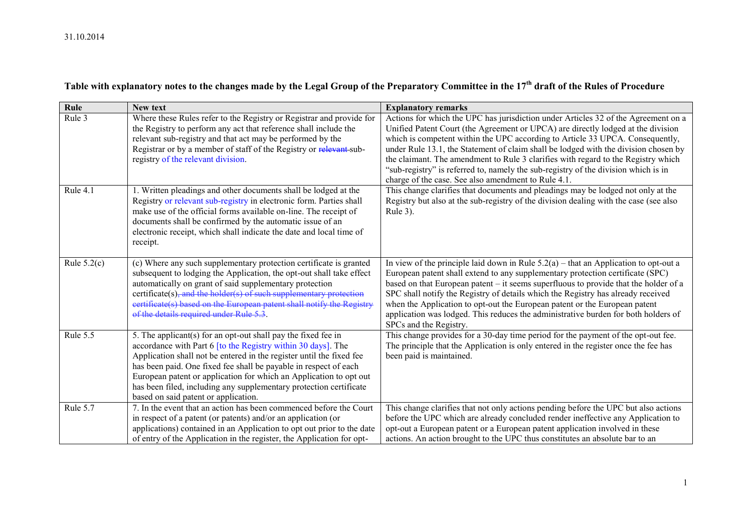| Table with explanatory notes to the changes made by the Legal Group of the Preparatory Committee in the 17 <sup>th</sup> draft of the Rules of Procedure |  |  |  |  |
|----------------------------------------------------------------------------------------------------------------------------------------------------------|--|--|--|--|
|----------------------------------------------------------------------------------------------------------------------------------------------------------|--|--|--|--|

| Rule          | New text                                                                                                                                                                                                                                                                                                                                                                                                                                                      | <b>Explanatory remarks</b>                                                                                                                                                                                                                                                                                                                                                                                                                                                                                                                                                       |
|---------------|---------------------------------------------------------------------------------------------------------------------------------------------------------------------------------------------------------------------------------------------------------------------------------------------------------------------------------------------------------------------------------------------------------------------------------------------------------------|----------------------------------------------------------------------------------------------------------------------------------------------------------------------------------------------------------------------------------------------------------------------------------------------------------------------------------------------------------------------------------------------------------------------------------------------------------------------------------------------------------------------------------------------------------------------------------|
| Rule 3        | Where these Rules refer to the Registry or Registrar and provide for<br>the Registry to perform any act that reference shall include the<br>relevant sub-registry and that act may be performed by the<br>Registrar or by a member of staff of the Registry or relevant-sub-<br>registry of the relevant division.                                                                                                                                            | Actions for which the UPC has jurisdiction under Articles 32 of the Agreement on a<br>Unified Patent Court (the Agreement or UPCA) are directly lodged at the division<br>which is competent within the UPC according to Article 33 UPCA. Consequently,<br>under Rule 13.1, the Statement of claim shall be lodged with the division chosen by<br>the claimant. The amendment to Rule 3 clarifies with regard to the Registry which<br>"sub-registry" is referred to, namely the sub-registry of the division which is in<br>charge of the case. See also amendment to Rule 4.1. |
| Rule 4.1      | 1. Written pleadings and other documents shall be lodged at the<br>Registry or relevant sub-registry in electronic form. Parties shall<br>make use of the official forms available on-line. The receipt of<br>documents shall be confirmed by the automatic issue of an<br>electronic receipt, which shall indicate the date and local time of<br>receipt.                                                                                                    | This change clarifies that documents and pleadings may be lodged not only at the<br>Registry but also at the sub-registry of the division dealing with the case (see also<br>Rule 3).                                                                                                                                                                                                                                                                                                                                                                                            |
| Rule $5.2(c)$ | (c) Where any such supplementary protection certificate is granted<br>subsequent to lodging the Application, the opt-out shall take effect<br>automatically on grant of said supplementary protection<br>certificate(s), and the holder(s) of such supplementary protection<br>certificate(s) based on the European patent shall notify the Registry<br>of the details required under Rule 5.3                                                                | In view of the principle laid down in Rule $5.2(a)$ – that an Application to opt-out a<br>European patent shall extend to any supplementary protection certificate (SPC)<br>based on that European patent – it seems superfluous to provide that the holder of a<br>SPC shall notify the Registry of details which the Registry has already received<br>when the Application to opt-out the European patent or the European patent<br>application was lodged. This reduces the administrative burden for both holders of<br>SPCs and the Registry.                               |
| Rule 5.5      | 5. The applicant(s) for an opt-out shall pay the fixed fee in<br>accordance with Part 6 [to the Registry within 30 days]. The<br>Application shall not be entered in the register until the fixed fee<br>has been paid. One fixed fee shall be payable in respect of each<br>European patent or application for which an Application to opt out<br>has been filed, including any supplementary protection certificate<br>based on said patent or application. | This change provides for a 30-day time period for the payment of the opt-out fee.<br>The principle that the Application is only entered in the register once the fee has<br>been paid is maintained.                                                                                                                                                                                                                                                                                                                                                                             |
| Rule 5.7      | 7. In the event that an action has been commenced before the Court<br>in respect of a patent (or patents) and/or an application (or<br>applications) contained in an Application to opt out prior to the date<br>of entry of the Application in the register, the Application for opt-                                                                                                                                                                        | This change clarifies that not only actions pending before the UPC but also actions<br>before the UPC which are already concluded render ineffective any Application to<br>opt-out a European patent or a European patent application involved in these<br>actions. An action brought to the UPC thus constitutes an absolute bar to an                                                                                                                                                                                                                                          |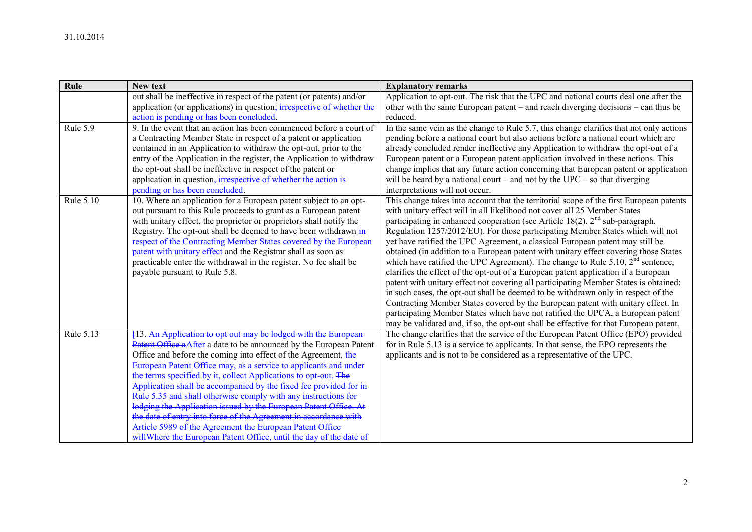| Rule      | New text                                                                                                                          | <b>Explanatory remarks</b>                                                                                                                                            |
|-----------|-----------------------------------------------------------------------------------------------------------------------------------|-----------------------------------------------------------------------------------------------------------------------------------------------------------------------|
|           | out shall be ineffective in respect of the patent (or patents) and/or                                                             | Application to opt-out. The risk that the UPC and national courts deal one after the                                                                                  |
|           | application (or applications) in question, <i>irrespective</i> of whether the                                                     | other with the same European patent – and reach diverging decisions – can thus be                                                                                     |
|           | action is pending or has been concluded.                                                                                          | reduced.                                                                                                                                                              |
| Rule 5.9  | 9. In the event that an action has been commenced before a court of                                                               | In the same vein as the change to Rule 5.7, this change clarifies that not only actions                                                                               |
|           | a Contracting Member State in respect of a patent or application                                                                  | pending before a national court but also actions before a national court which are                                                                                    |
|           | contained in an Application to withdraw the opt-out, prior to the                                                                 | already concluded render ineffective any Application to withdraw the opt-out of a                                                                                     |
|           | entry of the Application in the register, the Application to withdraw                                                             | European patent or a European patent application involved in these actions. This                                                                                      |
|           | the opt-out shall be ineffective in respect of the patent or                                                                      | change implies that any future action concerning that European patent or application                                                                                  |
|           | application in question, irrespective of whether the action is                                                                    | will be heard by a national court – and not by the $UPC$ – so that diverging                                                                                          |
|           | pending or has been concluded.                                                                                                    | interpretations will not occur.                                                                                                                                       |
| Rule 5.10 | 10. Where an application for a European patent subject to an opt-                                                                 | This change takes into account that the territorial scope of the first European patents                                                                               |
|           | out pursuant to this Rule proceeds to grant as a European patent                                                                  | with unitary effect will in all likelihood not cover all 25 Member States                                                                                             |
|           | with unitary effect, the proprietor or proprietors shall notify the                                                               | participating in enhanced cooperation (see Article 18(2), $2nd$ sub-paragraph,                                                                                        |
|           | Registry. The opt-out shall be deemed to have been withdrawn in                                                                   | Regulation 1257/2012/EU). For those participating Member States which will not                                                                                        |
|           | respect of the Contracting Member States covered by the European<br>patent with unitary effect and the Registrar shall as soon as | yet have ratified the UPC Agreement, a classical European patent may still be<br>obtained (in addition to a European patent with unitary effect covering those States |
|           | practicable enter the withdrawal in the register. No fee shall be                                                                 | which have ratified the UPC Agreement). The change to Rule 5.10, $2nd$ sentence,                                                                                      |
|           | payable pursuant to Rule 5.8.                                                                                                     | clarifies the effect of the opt-out of a European patent application if a European                                                                                    |
|           |                                                                                                                                   | patent with unitary effect not covering all participating Member States is obtained:                                                                                  |
|           |                                                                                                                                   | in such cases, the opt-out shall be deemed to be withdrawn only in respect of the                                                                                     |
|           |                                                                                                                                   | Contracting Member States covered by the European patent with unitary effect. In                                                                                      |
|           |                                                                                                                                   | participating Member States which have not ratified the UPCA, a European patent                                                                                       |
|           |                                                                                                                                   | may be validated and, if so, the opt-out shall be effective for that European patent.                                                                                 |
| Rule 5.13 | [13. An Application to opt out may be lodged with the European                                                                    | The change clarifies that the service of the European Patent Office (EPO) provided                                                                                    |
|           | Patent Office a After a date to be announced by the European Patent                                                               | for in Rule 5.13 is a service to applicants. In that sense, the EPO represents the                                                                                    |
|           | Office and before the coming into effect of the Agreement, the                                                                    | applicants and is not to be considered as a representative of the UPC.                                                                                                |
|           | European Patent Office may, as a service to applicants and under                                                                  |                                                                                                                                                                       |
|           | the terms specified by it, collect Applications to opt-out. The                                                                   |                                                                                                                                                                       |
|           | Application shall be accompanied by the fixed fee provided for in                                                                 |                                                                                                                                                                       |
|           | Rule 5.35 and shall otherwise comply with any instructions for                                                                    |                                                                                                                                                                       |
|           | lodging the Application issued by the European Patent Office. At the date of entry into force of the Agreement in accordance with |                                                                                                                                                                       |
|           |                                                                                                                                   |                                                                                                                                                                       |
|           | Article 5989 of the Agreement the European Patent Office                                                                          |                                                                                                                                                                       |
|           | will Where the European Patent Office, until the day of the date of                                                               |                                                                                                                                                                       |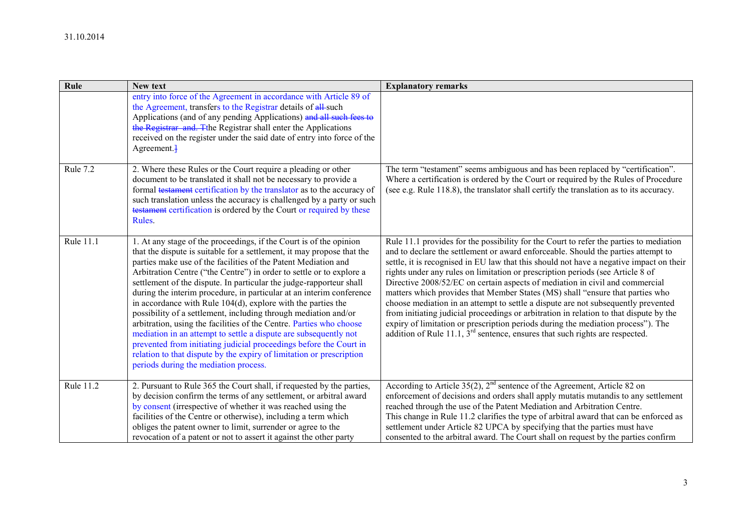| Rule      | New text                                                                                                                                                                                                                                                                                                                                                                                                                                                                                                                                                                                                                                                                                                                                                                                                                                                                                                      | <b>Explanatory remarks</b>                                                                                                                                                                                                                                                                                                                                                                                                                                                                                                                                                                                                                                                                                                                                                                                                                                                        |
|-----------|---------------------------------------------------------------------------------------------------------------------------------------------------------------------------------------------------------------------------------------------------------------------------------------------------------------------------------------------------------------------------------------------------------------------------------------------------------------------------------------------------------------------------------------------------------------------------------------------------------------------------------------------------------------------------------------------------------------------------------------------------------------------------------------------------------------------------------------------------------------------------------------------------------------|-----------------------------------------------------------------------------------------------------------------------------------------------------------------------------------------------------------------------------------------------------------------------------------------------------------------------------------------------------------------------------------------------------------------------------------------------------------------------------------------------------------------------------------------------------------------------------------------------------------------------------------------------------------------------------------------------------------------------------------------------------------------------------------------------------------------------------------------------------------------------------------|
|           | entry into force of the Agreement in accordance with Article 89 of<br>the Agreement, transfers to the Registrar details of all-such<br>Applications (and of any pending Applications) and all such fees to<br>the Registrar and. The Registrar shall enter the Applications<br>received on the register under the said date of entry into force of the<br>$Agreement.$ }                                                                                                                                                                                                                                                                                                                                                                                                                                                                                                                                      |                                                                                                                                                                                                                                                                                                                                                                                                                                                                                                                                                                                                                                                                                                                                                                                                                                                                                   |
| Rule 7.2  | 2. Where these Rules or the Court require a pleading or other<br>document to be translated it shall not be necessary to provide a<br>formal testament certification by the translator as to the accuracy of<br>such translation unless the accuracy is challenged by a party or such<br>testament certification is ordered by the Court or required by these<br>Rules.                                                                                                                                                                                                                                                                                                                                                                                                                                                                                                                                        | The term "testament" seems ambiguous and has been replaced by "certification".<br>Where a certification is ordered by the Court or required by the Rules of Procedure<br>(see e.g. Rule 118.8), the translator shall certify the translation as to its accuracy.                                                                                                                                                                                                                                                                                                                                                                                                                                                                                                                                                                                                                  |
| Rule 11.1 | 1. At any stage of the proceedings, if the Court is of the opinion<br>that the dispute is suitable for a settlement, it may propose that the<br>parties make use of the facilities of the Patent Mediation and<br>Arbitration Centre ("the Centre") in order to settle or to explore a<br>settlement of the dispute. In particular the judge-rapporteur shall<br>during the interim procedure, in particular at an interim conference<br>in accordance with Rule $104(d)$ , explore with the parties the<br>possibility of a settlement, including through mediation and/or<br>arbitration, using the facilities of the Centre. Parties who choose<br>mediation in an attempt to settle a dispute are subsequently not<br>prevented from initiating judicial proceedings before the Court in<br>relation to that dispute by the expiry of limitation or prescription<br>periods during the mediation process. | Rule 11.1 provides for the possibility for the Court to refer the parties to mediation<br>and to declare the settlement or award enforceable. Should the parties attempt to<br>settle, it is recognised in EU law that this should not have a negative impact on their<br>rights under any rules on limitation or prescription periods (see Article 8 of<br>Directive 2008/52/EC on certain aspects of mediation in civil and commercial<br>matters which provides that Member States (MS) shall "ensure that parties who<br>choose mediation in an attempt to settle a dispute are not subsequently prevented<br>from initiating judicial proceedings or arbitration in relation to that dispute by the<br>expiry of limitation or prescription periods during the mediation process"). The<br>addition of Rule 11.1, $3^{rd}$ sentence, ensures that such rights are respected. |
| Rule 11.2 | 2. Pursuant to Rule 365 the Court shall, if requested by the parties,<br>by decision confirm the terms of any settlement, or arbitral award<br>by consent (irrespective of whether it was reached using the<br>facilities of the Centre or otherwise), including a term which<br>obliges the patent owner to limit, surrender or agree to the<br>revocation of a patent or not to assert it against the other party                                                                                                                                                                                                                                                                                                                                                                                                                                                                                           | According to Article $35(2)$ , $2^{nd}$ sentence of the Agreement, Article 82 on<br>enforcement of decisions and orders shall apply mutatis mutandis to any settlement<br>reached through the use of the Patent Mediation and Arbitration Centre.<br>This change in Rule 11.2 clarifies the type of arbitral award that can be enforced as<br>settlement under Article 82 UPCA by specifying that the parties must have<br>consented to the arbitral award. The Court shall on request by the parties confirm                                                                                                                                                                                                                                                                                                                                                                     |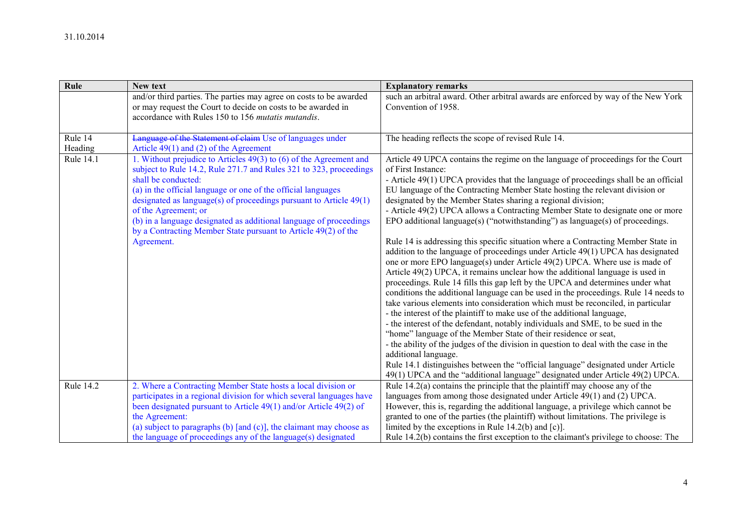| Rule               | New text                                                                                                                                                                                                                                                                                                                                                                                                                                                                               | <b>Explanatory remarks</b>                                                                                                                                                                                                                                                                                                                                                                                                                                                                                                                                                                                                                                                                                                                                                                                                                                                                                                                                                                                                                                                                                                                                                                                                                                                                                                                                                                                                                                                                                                                                                                                                                  |
|--------------------|----------------------------------------------------------------------------------------------------------------------------------------------------------------------------------------------------------------------------------------------------------------------------------------------------------------------------------------------------------------------------------------------------------------------------------------------------------------------------------------|---------------------------------------------------------------------------------------------------------------------------------------------------------------------------------------------------------------------------------------------------------------------------------------------------------------------------------------------------------------------------------------------------------------------------------------------------------------------------------------------------------------------------------------------------------------------------------------------------------------------------------------------------------------------------------------------------------------------------------------------------------------------------------------------------------------------------------------------------------------------------------------------------------------------------------------------------------------------------------------------------------------------------------------------------------------------------------------------------------------------------------------------------------------------------------------------------------------------------------------------------------------------------------------------------------------------------------------------------------------------------------------------------------------------------------------------------------------------------------------------------------------------------------------------------------------------------------------------------------------------------------------------|
|                    | and/or third parties. The parties may agree on costs to be awarded<br>or may request the Court to decide on costs to be awarded in<br>accordance with Rules 150 to 156 mutatis mutandis.                                                                                                                                                                                                                                                                                               | such an arbitral award. Other arbitral awards are enforced by way of the New York<br>Convention of 1958.                                                                                                                                                                                                                                                                                                                                                                                                                                                                                                                                                                                                                                                                                                                                                                                                                                                                                                                                                                                                                                                                                                                                                                                                                                                                                                                                                                                                                                                                                                                                    |
| Rule 14<br>Heading | Language of the Statement of claim Use of languages under<br>Article $49(1)$ and (2) of the Agreement                                                                                                                                                                                                                                                                                                                                                                                  | The heading reflects the scope of revised Rule 14.                                                                                                                                                                                                                                                                                                                                                                                                                                                                                                                                                                                                                                                                                                                                                                                                                                                                                                                                                                                                                                                                                                                                                                                                                                                                                                                                                                                                                                                                                                                                                                                          |
| Rule 14.1          | 1. Without prejudice to Articles 49(3) to (6) of the Agreement and<br>subject to Rule 14.2, Rule 271.7 and Rules 321 to 323, proceedings<br>shall be conducted:<br>(a) in the official language or one of the official languages<br>designated as language(s) of proceedings pursuant to Article $49(1)$<br>of the Agreement; or<br>(b) in a language designated as additional language of proceedings<br>by a Contracting Member State pursuant to Article 49(2) of the<br>Agreement. | Article 49 UPCA contains the regime on the language of proceedings for the Court<br>of First Instance:<br>- Article 49(1) UPCA provides that the language of proceedings shall be an official<br>EU language of the Contracting Member State hosting the relevant division or<br>designated by the Member States sharing a regional division;<br>- Article 49(2) UPCA allows a Contracting Member State to designate one or more<br>EPO additional language(s) ("notwithstanding") as language(s) of proceedings.<br>Rule 14 is addressing this specific situation where a Contracting Member State in<br>addition to the language of proceedings under Article 49(1) UPCA has designated<br>one or more EPO language(s) under Article 49(2) UPCA. Where use is made of<br>Article 49(2) UPCA, it remains unclear how the additional language is used in<br>proceedings. Rule 14 fills this gap left by the UPCA and determines under what<br>conditions the additional language can be used in the proceedings. Rule 14 needs to<br>take various elements into consideration which must be reconciled, in particular<br>- the interest of the plaintiff to make use of the additional language,<br>- the interest of the defendant, notably individuals and SME, to be sued in the<br>"home" language of the Member State of their residence or seat,<br>- the ability of the judges of the division in question to deal with the case in the<br>additional language.<br>Rule 14.1 distinguishes between the "official language" designated under Article<br>49(1) UPCA and the "additional language" designated under Article 49(2) UPCA. |
| Rule 14.2          | 2. Where a Contracting Member State hosts a local division or<br>participates in a regional division for which several languages have<br>been designated pursuant to Article 49(1) and/or Article 49(2) of<br>the Agreement:<br>(a) subject to paragraphs (b) $[$ and $(c)$ $],$ the claimant may choose as<br>the language of proceedings any of the language(s) designated                                                                                                           | Rule $14.2(a)$ contains the principle that the plaintiff may choose any of the<br>languages from among those designated under Article 49(1) and (2) UPCA.<br>However, this is, regarding the additional language, a privilege which cannot be<br>granted to one of the parties (the plaintiff) without limitations. The privilege is<br>limited by the exceptions in Rule $14.2(b)$ and $[c]$ .<br>Rule 14.2(b) contains the first exception to the claimant's privilege to choose: The                                                                                                                                                                                                                                                                                                                                                                                                                                                                                                                                                                                                                                                                                                                                                                                                                                                                                                                                                                                                                                                                                                                                                     |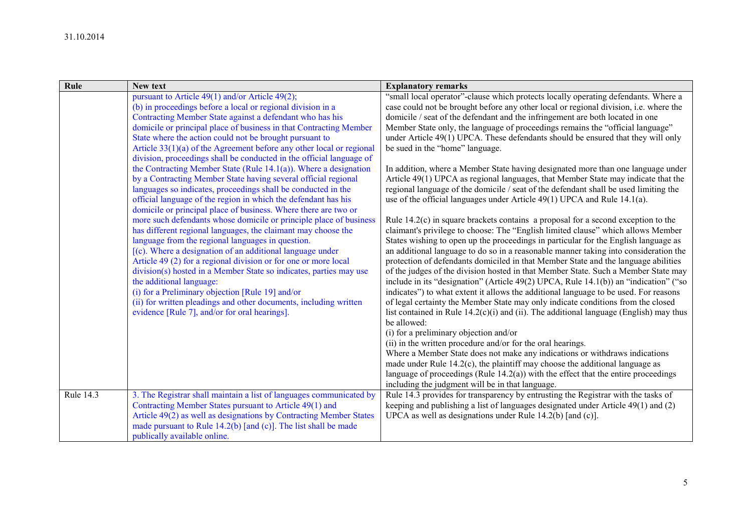| Rule             | New text                                                                                                                                                                                                                                                                                                                                                                                                                                                                                                                                                                                                                                                                                                                                                                                                                                                                                                                                                                                                                                                                                                                                                                                                                                                                                                                                                                                                                | <b>Explanatory remarks</b>                                                                                                                                                                                                                                                                                                                                                                                                                                                                                                                                                                                                                                                                                                                                                                                                                                                                                                                                                                                                                                                                                                                                                                                                                                                                                                                                                                                                                                                                                                                                                                                                                                                                                                                                                                                                                              |
|------------------|-------------------------------------------------------------------------------------------------------------------------------------------------------------------------------------------------------------------------------------------------------------------------------------------------------------------------------------------------------------------------------------------------------------------------------------------------------------------------------------------------------------------------------------------------------------------------------------------------------------------------------------------------------------------------------------------------------------------------------------------------------------------------------------------------------------------------------------------------------------------------------------------------------------------------------------------------------------------------------------------------------------------------------------------------------------------------------------------------------------------------------------------------------------------------------------------------------------------------------------------------------------------------------------------------------------------------------------------------------------------------------------------------------------------------|---------------------------------------------------------------------------------------------------------------------------------------------------------------------------------------------------------------------------------------------------------------------------------------------------------------------------------------------------------------------------------------------------------------------------------------------------------------------------------------------------------------------------------------------------------------------------------------------------------------------------------------------------------------------------------------------------------------------------------------------------------------------------------------------------------------------------------------------------------------------------------------------------------------------------------------------------------------------------------------------------------------------------------------------------------------------------------------------------------------------------------------------------------------------------------------------------------------------------------------------------------------------------------------------------------------------------------------------------------------------------------------------------------------------------------------------------------------------------------------------------------------------------------------------------------------------------------------------------------------------------------------------------------------------------------------------------------------------------------------------------------------------------------------------------------------------------------------------------------|
|                  | pursuant to Article 49(1) and/or Article 49(2);<br>(b) in proceedings before a local or regional division in a<br>Contracting Member State against a defendant who has his<br>domicile or principal place of business in that Contracting Member<br>State where the action could not be brought pursuant to<br>Article $33(1)(a)$ of the Agreement before any other local or regional<br>division, proceedings shall be conducted in the official language of<br>the Contracting Member State (Rule $14.1(a)$ ). Where a designation<br>by a Contracting Member State having several official regional<br>languages so indicates, proceedings shall be conducted in the<br>official language of the region in which the defendant has his<br>domicile or principal place of business. Where there are two or<br>more such defendants whose domicile or principle place of business<br>has different regional languages, the claimant may choose the<br>language from the regional languages in question.<br>$[(c)$ . Where a designation of an additional language under<br>Article 49 (2) for a regional division or for one or more local<br>division(s) hosted in a Member State so indicates, parties may use<br>the additional language:<br>(i) for a Preliminary objection [Rule 19] and/or<br>(ii) for written pleadings and other documents, including written<br>evidence [Rule 7], and/or for oral hearings]. | "small local operator"-clause which protects locally operating defendants. Where a<br>case could not be brought before any other local or regional division, <i>i.e.</i> where the<br>domicile / seat of the defendant and the infringement are both located in one<br>Member State only, the language of proceedings remains the "official language"<br>under Article 49(1) UPCA. These defendants should be ensured that they will only<br>be sued in the "home" language.<br>In addition, where a Member State having designated more than one language under<br>Article 49(1) UPCA as regional languages, that Member State may indicate that the<br>regional language of the domicile / seat of the defendant shall be used limiting the<br>use of the official languages under Article 49(1) UPCA and Rule 14.1(a).<br>Rule $14.2(c)$ in square brackets contains a proposal for a second exception to the<br>claimant's privilege to choose: The "English limited clause" which allows Member<br>States wishing to open up the proceedings in particular for the English language as<br>an additional language to do so in a reasonable manner taking into consideration the<br>protection of defendants domiciled in that Member State and the language abilities<br>of the judges of the division hosted in that Member State. Such a Member State may<br>include in its "designation" (Article 49(2) UPCA, Rule 14.1(b)) an "indication" ("so<br>indicates") to what extent it allows the additional language to be used. For reasons<br>of legal certainty the Member State may only indicate conditions from the closed<br>list contained in Rule $14.2(c)(i)$ and (ii). The additional language (English) may thus<br>be allowed:<br>(i) for a preliminary objection and/or<br>(ii) in the written procedure and/or for the oral hearings. |
|                  |                                                                                                                                                                                                                                                                                                                                                                                                                                                                                                                                                                                                                                                                                                                                                                                                                                                                                                                                                                                                                                                                                                                                                                                                                                                                                                                                                                                                                         | Where a Member State does not make any indications or withdraws indications<br>made under Rule $14.2(c)$ , the plaintiff may choose the additional language as<br>language of proceedings (Rule $14.2(a)$ ) with the effect that the entire proceedings<br>including the judgment will be in that language.                                                                                                                                                                                                                                                                                                                                                                                                                                                                                                                                                                                                                                                                                                                                                                                                                                                                                                                                                                                                                                                                                                                                                                                                                                                                                                                                                                                                                                                                                                                                             |
| <b>Rule 14.3</b> | 3. The Registrar shall maintain a list of languages communicated by                                                                                                                                                                                                                                                                                                                                                                                                                                                                                                                                                                                                                                                                                                                                                                                                                                                                                                                                                                                                                                                                                                                                                                                                                                                                                                                                                     | Rule 14.3 provides for transparency by entrusting the Registrar with the tasks of                                                                                                                                                                                                                                                                                                                                                                                                                                                                                                                                                                                                                                                                                                                                                                                                                                                                                                                                                                                                                                                                                                                                                                                                                                                                                                                                                                                                                                                                                                                                                                                                                                                                                                                                                                       |
|                  | Contracting Member States pursuant to Article 49(1) and                                                                                                                                                                                                                                                                                                                                                                                                                                                                                                                                                                                                                                                                                                                                                                                                                                                                                                                                                                                                                                                                                                                                                                                                                                                                                                                                                                 | keeping and publishing a list of languages designated under Article 49(1) and (2)                                                                                                                                                                                                                                                                                                                                                                                                                                                                                                                                                                                                                                                                                                                                                                                                                                                                                                                                                                                                                                                                                                                                                                                                                                                                                                                                                                                                                                                                                                                                                                                                                                                                                                                                                                       |
|                  | Article 49(2) as well as designations by Contracting Member States                                                                                                                                                                                                                                                                                                                                                                                                                                                                                                                                                                                                                                                                                                                                                                                                                                                                                                                                                                                                                                                                                                                                                                                                                                                                                                                                                      | UPCA as well as designations under Rule $14.2(b)$ [and (c)].                                                                                                                                                                                                                                                                                                                                                                                                                                                                                                                                                                                                                                                                                                                                                                                                                                                                                                                                                                                                                                                                                                                                                                                                                                                                                                                                                                                                                                                                                                                                                                                                                                                                                                                                                                                            |
|                  | made pursuant to Rule $14.2(b)$ [and (c)]. The list shall be made                                                                                                                                                                                                                                                                                                                                                                                                                                                                                                                                                                                                                                                                                                                                                                                                                                                                                                                                                                                                                                                                                                                                                                                                                                                                                                                                                       |                                                                                                                                                                                                                                                                                                                                                                                                                                                                                                                                                                                                                                                                                                                                                                                                                                                                                                                                                                                                                                                                                                                                                                                                                                                                                                                                                                                                                                                                                                                                                                                                                                                                                                                                                                                                                                                         |
|                  | publically available online.                                                                                                                                                                                                                                                                                                                                                                                                                                                                                                                                                                                                                                                                                                                                                                                                                                                                                                                                                                                                                                                                                                                                                                                                                                                                                                                                                                                            |                                                                                                                                                                                                                                                                                                                                                                                                                                                                                                                                                                                                                                                                                                                                                                                                                                                                                                                                                                                                                                                                                                                                                                                                                                                                                                                                                                                                                                                                                                                                                                                                                                                                                                                                                                                                                                                         |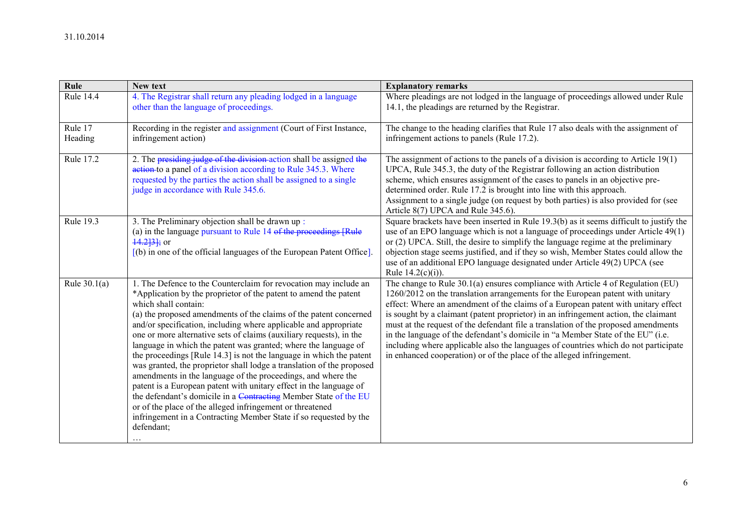| Rule               | New text                                                                                                                                                                                                                                                                                                                                                                                                                                                                                                                                                                                                                                                                                                                                                                                                                                                                                                                                                  | <b>Explanatory remarks</b>                                                                                                                                                                                                                                                                                                                                                                                                                                                                                                                                                                                                                                                             |
|--------------------|-----------------------------------------------------------------------------------------------------------------------------------------------------------------------------------------------------------------------------------------------------------------------------------------------------------------------------------------------------------------------------------------------------------------------------------------------------------------------------------------------------------------------------------------------------------------------------------------------------------------------------------------------------------------------------------------------------------------------------------------------------------------------------------------------------------------------------------------------------------------------------------------------------------------------------------------------------------|----------------------------------------------------------------------------------------------------------------------------------------------------------------------------------------------------------------------------------------------------------------------------------------------------------------------------------------------------------------------------------------------------------------------------------------------------------------------------------------------------------------------------------------------------------------------------------------------------------------------------------------------------------------------------------------|
| <b>Rule 14.4</b>   | 4. The Registrar shall return any pleading lodged in a language<br>other than the language of proceedings.                                                                                                                                                                                                                                                                                                                                                                                                                                                                                                                                                                                                                                                                                                                                                                                                                                                | Where pleadings are not lodged in the language of proceedings allowed under Rule<br>14.1, the pleadings are returned by the Registrar.                                                                                                                                                                                                                                                                                                                                                                                                                                                                                                                                                 |
| Rule 17<br>Heading | Recording in the register and assignment (Court of First Instance,<br>infringement action)                                                                                                                                                                                                                                                                                                                                                                                                                                                                                                                                                                                                                                                                                                                                                                                                                                                                | The change to the heading clarifies that Rule 17 also deals with the assignment of<br>infringement actions to panels (Rule 17.2).                                                                                                                                                                                                                                                                                                                                                                                                                                                                                                                                                      |
| <b>Rule 17.2</b>   | 2. The presiding judge of the division action shall be assigned the<br>action to a panel of a division according to Rule 345.3. Where<br>requested by the parties the action shall be assigned to a single<br>judge in accordance with Rule 345.6.                                                                                                                                                                                                                                                                                                                                                                                                                                                                                                                                                                                                                                                                                                        | The assignment of actions to the panels of a division is according to Article $19(1)$<br>UPCA, Rule 345.3, the duty of the Registrar following an action distribution<br>scheme, which ensures assignment of the cases to panels in an objective pre-<br>determined order. Rule 17.2 is brought into line with this approach.<br>Assignment to a single judge (on request by both parties) is also provided for (see<br>Article 8(7) UPCA and Rule 345.6).                                                                                                                                                                                                                             |
| <b>Rule 19.3</b>   | 3. The Preliminary objection shall be drawn up:<br>(a) in the language pursuant to Rule 14 of the proceedings [Rule<br>$\frac{14.2}{3}$ ; or<br>$(6)$ in one of the official languages of the European Patent Office.                                                                                                                                                                                                                                                                                                                                                                                                                                                                                                                                                                                                                                                                                                                                     | Square brackets have been inserted in Rule 19.3(b) as it seems difficult to justify the<br>use of an EPO language which is not a language of proceedings under Article 49(1)<br>or (2) UPCA. Still, the desire to simplify the language regime at the preliminary<br>objection stage seems justified, and if they so wish, Member States could allow the<br>use of an additional EPO language designated under Article 49(2) UPCA (see<br>Rule $14.2(c)(i)$ ).                                                                                                                                                                                                                         |
| Rule $30.1(a)$     | 1. The Defence to the Counterclaim for revocation may include an<br>*Application by the proprietor of the patent to amend the patent<br>which shall contain:<br>(a) the proposed amendments of the claims of the patent concerned<br>and/or specification, including where applicable and appropriate<br>one or more alternative sets of claims (auxiliary requests), in the<br>language in which the patent was granted; where the language of<br>the proceedings [Rule 14.3] is not the language in which the patent<br>was granted, the proprietor shall lodge a translation of the proposed<br>amendments in the language of the proceedings, and where the<br>patent is a European patent with unitary effect in the language of<br>the defendant's domicile in a Contracting Member State of the EU<br>or of the place of the alleged infringement or threatened<br>infringement in a Contracting Member State if so requested by the<br>defendant; | The change to Rule 30.1(a) ensures compliance with Article 4 of Regulation (EU)<br>1260/2012 on the translation arrangements for the European patent with unitary<br>effect: Where an amendment of the claims of a European patent with unitary effect<br>is sought by a claimant (patent proprietor) in an infringement action, the claimant<br>must at the request of the defendant file a translation of the proposed amendments<br>in the language of the defendant's domicile in "a Member State of the EU" (i.e.<br>including where applicable also the languages of countries which do not participate<br>in enhanced cooperation) or of the place of the alleged infringement. |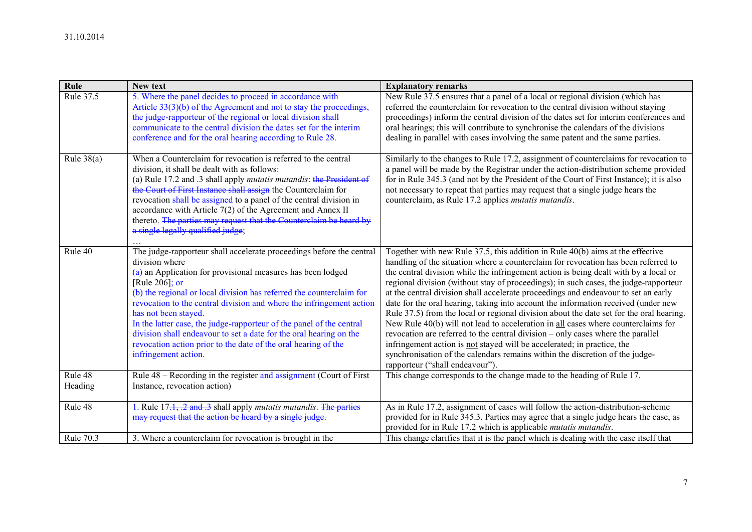| Rule               | <b>New text</b>                                                                                                                                                                                                                                                                                                                                                                                                                                                                                                                                                                         | <b>Explanatory remarks</b>                                                                                                                                                                                                                                                                                                                                                                                                                                                                                                                                                                                                                                                                                                                                                                                                                                                                                                                                                                        |
|--------------------|-----------------------------------------------------------------------------------------------------------------------------------------------------------------------------------------------------------------------------------------------------------------------------------------------------------------------------------------------------------------------------------------------------------------------------------------------------------------------------------------------------------------------------------------------------------------------------------------|---------------------------------------------------------------------------------------------------------------------------------------------------------------------------------------------------------------------------------------------------------------------------------------------------------------------------------------------------------------------------------------------------------------------------------------------------------------------------------------------------------------------------------------------------------------------------------------------------------------------------------------------------------------------------------------------------------------------------------------------------------------------------------------------------------------------------------------------------------------------------------------------------------------------------------------------------------------------------------------------------|
| Rule 37.5          | 5. Where the panel decides to proceed in accordance with<br>Article 33(3)(b) of the Agreement and not to stay the proceedings,<br>the judge-rapporteur of the regional or local division shall<br>communicate to the central division the dates set for the interim<br>conference and for the oral hearing according to Rule 28.                                                                                                                                                                                                                                                        | New Rule 37.5 ensures that a panel of a local or regional division (which has<br>referred the counterclaim for revocation to the central division without staying<br>proceedings) inform the central division of the dates set for interim conferences and<br>oral hearings; this will contribute to synchronise the calendars of the divisions<br>dealing in parallel with cases involving the same patent and the same parties.                                                                                                                                                                                                                                                                                                                                                                                                                                                                                                                                                                 |
| Rule $38(a)$       | When a Counterclaim for revocation is referred to the central<br>division, it shall be dealt with as follows:<br>(a) Rule 17.2 and .3 shall apply <i>mutatis mutandis</i> : the President of<br>the Court of First Instance shall assign the Counterclaim for<br>revocation shall be assigned to a panel of the central division in<br>accordance with Article $7(2)$ of the Agreement and Annex II<br>thereto. The parties may request that the Counterclaim be heard by<br>a single legally qualified judge;                                                                          | Similarly to the changes to Rule 17.2, assignment of counterclaims for revocation to<br>a panel will be made by the Registrar under the action-distribution scheme provided<br>for in Rule 345.3 (and not by the President of the Court of First Instance); it is also<br>not necessary to repeat that parties may request that a single judge hears the<br>counterclaim, as Rule 17.2 applies <i>mutatis mutandis</i> .                                                                                                                                                                                                                                                                                                                                                                                                                                                                                                                                                                          |
| Rule 40            | The judge-rapporteur shall accelerate proceedings before the central<br>division where<br>(a) an Application for provisional measures has been lodged<br>[Rule 206]; or<br>(b) the regional or local division has referred the counterclaim for<br>revocation to the central division and where the infringement action<br>has not been stayed.<br>In the latter case, the judge-rapporteur of the panel of the central<br>division shall endeavour to set a date for the oral hearing on the<br>revocation action prior to the date of the oral hearing of the<br>infringement action. | Together with new Rule 37.5, this addition in Rule 40(b) aims at the effective<br>handling of the situation where a counterclaim for revocation has been referred to<br>the central division while the infringement action is being dealt with by a local or<br>regional division (without stay of proceedings); in such cases, the judge-rapporteur<br>at the central division shall accelerate proceedings and endeavour to set an early<br>date for the oral hearing, taking into account the information received (under new<br>Rule 37.5) from the local or regional division about the date set for the oral hearing.<br>New Rule 40(b) will not lead to acceleration in all cases where counterclaims for<br>revocation are referred to the central division – only cases where the parallel<br>infringement action is not stayed will be accelerated; in practice, the<br>synchronisation of the calendars remains within the discretion of the judge-<br>rapporteur ("shall endeavour"). |
| Rule 48<br>Heading | Rule 48 – Recording in the register and assignment (Court of First<br>Instance, revocation action)                                                                                                                                                                                                                                                                                                                                                                                                                                                                                      | This change corresponds to the change made to the heading of Rule 17.                                                                                                                                                                                                                                                                                                                                                                                                                                                                                                                                                                                                                                                                                                                                                                                                                                                                                                                             |
| Rule 48            | 1. Rule 17.1, .2 and .3 shall apply <i>mutatis mutandis</i> . The parties<br>may request that the action be heard by a single judge.                                                                                                                                                                                                                                                                                                                                                                                                                                                    | As in Rule 17.2, assignment of cases will follow the action-distribution-scheme<br>provided for in Rule 345.3. Parties may agree that a single judge hears the case, as<br>provided for in Rule 17.2 which is applicable <i>mutatis mutandis</i> .                                                                                                                                                                                                                                                                                                                                                                                                                                                                                                                                                                                                                                                                                                                                                |
| Rule 70.3          | 3. Where a counterclaim for revocation is brought in the                                                                                                                                                                                                                                                                                                                                                                                                                                                                                                                                | This change clarifies that it is the panel which is dealing with the case itself that                                                                                                                                                                                                                                                                                                                                                                                                                                                                                                                                                                                                                                                                                                                                                                                                                                                                                                             |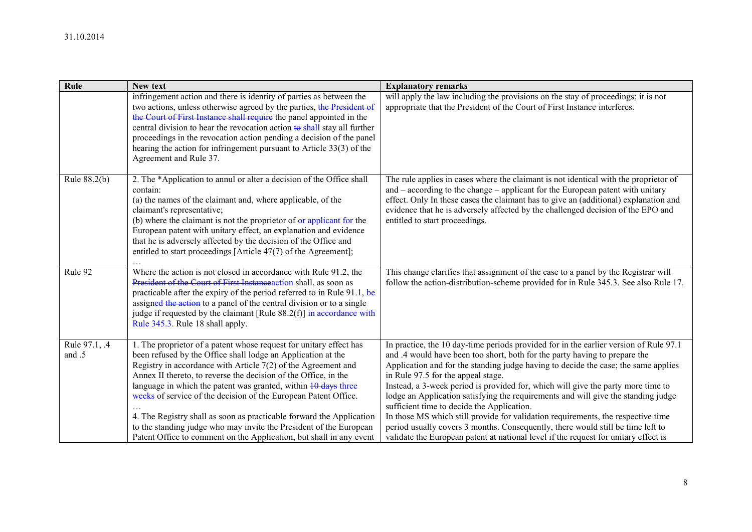| Rule                    | New text                                                                                                                                                                                                                                                                                                                                                                                                                                                                                                                                                                                                                                     | <b>Explanatory remarks</b>                                                                                                                                                                                                                                                                                                                                                                                                                                                                                                                                                                                                                                                                                                                                                           |
|-------------------------|----------------------------------------------------------------------------------------------------------------------------------------------------------------------------------------------------------------------------------------------------------------------------------------------------------------------------------------------------------------------------------------------------------------------------------------------------------------------------------------------------------------------------------------------------------------------------------------------------------------------------------------------|--------------------------------------------------------------------------------------------------------------------------------------------------------------------------------------------------------------------------------------------------------------------------------------------------------------------------------------------------------------------------------------------------------------------------------------------------------------------------------------------------------------------------------------------------------------------------------------------------------------------------------------------------------------------------------------------------------------------------------------------------------------------------------------|
|                         | infringement action and there is identity of parties as between the<br>two actions, unless otherwise agreed by the parties, the President of<br>the Court of First Instance shall require the panel appointed in the<br>central division to hear the revocation action to shall stay all further<br>proceedings in the revocation action pending a decision of the panel<br>hearing the action for infringement pursuant to Article 33(3) of the<br>Agreement and Rule 37.                                                                                                                                                                   | will apply the law including the provisions on the stay of proceedings; it is not<br>appropriate that the President of the Court of First Instance interferes.                                                                                                                                                                                                                                                                                                                                                                                                                                                                                                                                                                                                                       |
| Rule 88.2(b)            | 2. The *Application to annul or alter a decision of the Office shall<br>contain:<br>(a) the names of the claimant and, where applicable, of the<br>claimant's representative;<br>(b) where the claimant is not the proprietor of or applicant for the<br>European patent with unitary effect, an explanation and evidence<br>that he is adversely affected by the decision of the Office and<br>entitled to start proceedings [Article 47(7) of the Agreement];                                                                                                                                                                              | The rule applies in cases where the claimant is not identical with the proprietor of<br>and $-$ according to the change $-$ applicant for the European patent with unitary<br>effect. Only In these cases the claimant has to give an (additional) explanation and<br>evidence that he is adversely affected by the challenged decision of the EPO and<br>entitled to start proceedings.                                                                                                                                                                                                                                                                                                                                                                                             |
| Rule 92                 | Where the action is not closed in accordance with Rule 91.2, the<br>President of the Court of First Instance action shall, as soon as<br>practicable after the expiry of the period referred to in Rule 91.1, be<br>assigned the action to a panel of the central division or to a single<br>judge if requested by the claimant [Rule $88.2(f)$ ] in accordance with<br>Rule 345.3. Rule 18 shall apply.                                                                                                                                                                                                                                     | This change clarifies that assignment of the case to a panel by the Registrar will<br>follow the action-distribution-scheme provided for in Rule 345.3. See also Rule 17.                                                                                                                                                                                                                                                                                                                                                                                                                                                                                                                                                                                                            |
| Rule 97.1, .4<br>and .5 | 1. The proprietor of a patent whose request for unitary effect has<br>been refused by the Office shall lodge an Application at the<br>Registry in accordance with Article $7(2)$ of the Agreement and<br>Annex II thereto, to reverse the decision of the Office, in the<br>language in which the patent was granted, within $10 \text{ days}$ three<br>weeks of service of the decision of the European Patent Office.<br>4. The Registry shall as soon as practicable forward the Application<br>to the standing judge who may invite the President of the European<br>Patent Office to comment on the Application, but shall in any event | In practice, the 10 day-time periods provided for in the earlier version of Rule 97.1<br>and .4 would have been too short, both for the party having to prepare the<br>Application and for the standing judge having to decide the case; the same applies<br>in Rule 97.5 for the appeal stage.<br>Instead, a 3-week period is provided for, which will give the party more time to<br>lodge an Application satisfying the requirements and will give the standing judge<br>sufficient time to decide the Application.<br>In those MS which still provide for validation requirements, the respective time<br>period usually covers 3 months. Consequently, there would still be time left to<br>validate the European patent at national level if the request for unitary effect is |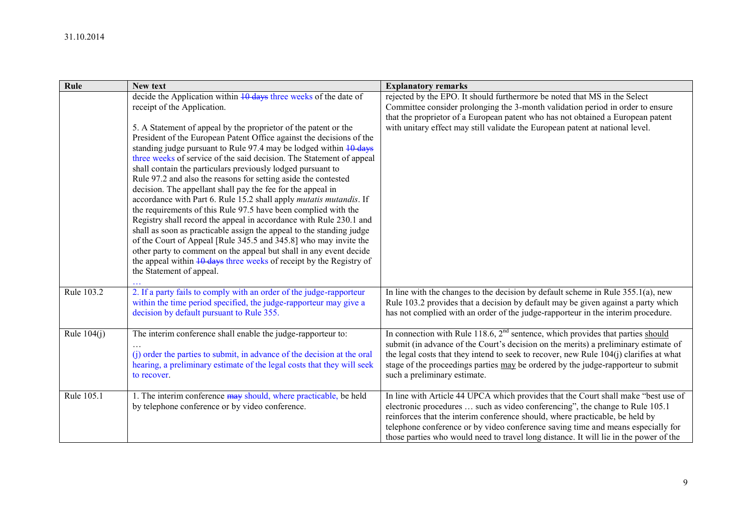| Rule          | New text                                                                                                                                  | <b>Explanatory remarks</b>                                                                                        |
|---------------|-------------------------------------------------------------------------------------------------------------------------------------------|-------------------------------------------------------------------------------------------------------------------|
|               | decide the Application within 10 days three weeks of the date of                                                                          | rejected by the EPO. It should furthermore be noted that MS in the Select                                         |
|               | receipt of the Application.                                                                                                               | Committee consider prolonging the 3-month validation period in order to ensure                                    |
|               |                                                                                                                                           | that the proprietor of a European patent who has not obtained a European patent                                   |
|               | 5. A Statement of appeal by the proprietor of the patent or the                                                                           | with unitary effect may still validate the European patent at national level.                                     |
|               | President of the European Patent Office against the decisions of the                                                                      |                                                                                                                   |
|               | standing judge pursuant to Rule 97.4 may be lodged within 10 days<br>three weeks of service of the said decision. The Statement of appeal |                                                                                                                   |
|               | shall contain the particulars previously lodged pursuant to                                                                               |                                                                                                                   |
|               | Rule 97.2 and also the reasons for setting aside the contested                                                                            |                                                                                                                   |
|               | decision. The appellant shall pay the fee for the appeal in                                                                               |                                                                                                                   |
|               | accordance with Part 6. Rule 15.2 shall apply mutatis mutandis. If                                                                        |                                                                                                                   |
|               | the requirements of this Rule 97.5 have been complied with the                                                                            |                                                                                                                   |
|               | Registry shall record the appeal in accordance with Rule 230.1 and                                                                        |                                                                                                                   |
|               | shall as soon as practicable assign the appeal to the standing judge                                                                      |                                                                                                                   |
|               | of the Court of Appeal [Rule 345.5 and 345.8] who may invite the                                                                          |                                                                                                                   |
|               | other party to comment on the appeal but shall in any event decide                                                                        |                                                                                                                   |
|               | the appeal within 10 days three weeks of receipt by the Registry of<br>the Statement of appeal.                                           |                                                                                                                   |
|               |                                                                                                                                           |                                                                                                                   |
| Rule 103.2    | 2. If a party fails to comply with an order of the judge-rapporteur                                                                       | In line with the changes to the decision by default scheme in Rule $355.1(a)$ , new                               |
|               | within the time period specified, the judge-rapporteur may give a                                                                         | Rule 103.2 provides that a decision by default may be given against a party which                                 |
|               | decision by default pursuant to Rule 355.                                                                                                 | has not complied with an order of the judge-rapporteur in the interim procedure.                                  |
|               |                                                                                                                                           |                                                                                                                   |
| Rule $104(i)$ | The interim conference shall enable the judge-rapporteur to:                                                                              | In connection with Rule 118.6, $2nd$ sentence, which provides that parties should                                 |
|               |                                                                                                                                           | submit (in advance of the Court's decision on the merits) a preliminary estimate of                               |
|               | (i) order the parties to submit, in advance of the decision at the oral                                                                   | the legal costs that they intend to seek to recover, new Rule 104(j) clarifies at what                            |
|               | hearing, a preliminary estimate of the legal costs that they will seek<br>to recover.                                                     | stage of the proceedings parties may be ordered by the judge-rapporteur to submit<br>such a preliminary estimate. |
|               |                                                                                                                                           |                                                                                                                   |
| Rule 105.1    | 1. The interim conference may should, where practicable, be held                                                                          | In line with Article 44 UPCA which provides that the Court shall make "best use of                                |
|               | by telephone conference or by video conference.                                                                                           | electronic procedures  such as video conferencing", the change to Rule 105.1                                      |
|               |                                                                                                                                           | reinforces that the interim conference should, where practicable, be held by                                      |
|               |                                                                                                                                           | telephone conference or by video conference saving time and means especially for                                  |
|               |                                                                                                                                           | those parties who would need to travel long distance. It will lie in the power of the                             |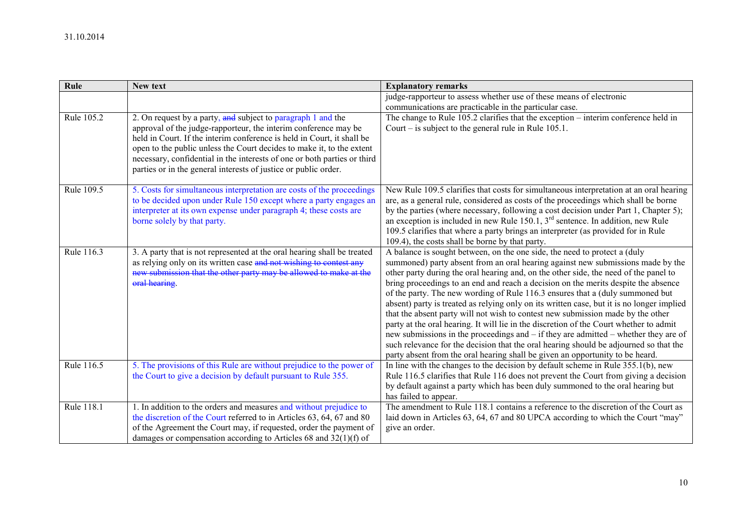| Rule       | <b>New text</b>                                                                    | <b>Explanatory remarks</b>                                                                                                                                          |
|------------|------------------------------------------------------------------------------------|---------------------------------------------------------------------------------------------------------------------------------------------------------------------|
|            |                                                                                    | judge-rapporteur to assess whether use of these means of electronic                                                                                                 |
|            |                                                                                    | communications are practicable in the particular case.                                                                                                              |
| Rule 105.2 | 2. On request by a party, and subject to paragraph 1 and the                       | The change to Rule 105.2 clarifies that the exception - interim conference held in                                                                                  |
|            | approval of the judge-rapporteur, the interim conference may be                    | Court – is subject to the general rule in Rule $105.1$ .                                                                                                            |
|            | held in Court. If the interim conference is held in Court, it shall be             |                                                                                                                                                                     |
|            | open to the public unless the Court decides to make it, to the extent              |                                                                                                                                                                     |
|            | necessary, confidential in the interests of one or both parties or third           |                                                                                                                                                                     |
|            | parties or in the general interests of justice or public order.                    |                                                                                                                                                                     |
| Rule 109.5 | 5. Costs for simultaneous interpretation are costs of the proceedings              | New Rule 109.5 clarifies that costs for simultaneous interpretation at an oral hearing                                                                              |
|            | to be decided upon under Rule 150 except where a party engages an                  | are, as a general rule, considered as costs of the proceedings which shall be borne                                                                                 |
|            | interpreter at its own expense under paragraph 4; these costs are                  | by the parties (where necessary, following a cost decision under Part 1, Chapter 5);                                                                                |
|            | borne solely by that party.                                                        | an exception is included in new Rule $150.1$ , $3rd$ sentence. In addition, new Rule                                                                                |
|            |                                                                                    | 109.5 clarifies that where a party brings an interpreter (as provided for in Rule                                                                                   |
|            |                                                                                    | 109.4), the costs shall be borne by that party.                                                                                                                     |
| Rule 116.3 | 3. A party that is not represented at the oral hearing shall be treated            | A balance is sought between, on the one side, the need to protect a (duly                                                                                           |
|            | as relying only on its written case and not wishing to contest any                 | summoned) party absent from an oral hearing against new submissions made by the                                                                                     |
|            | new submission that the other party may be allowed to make at the<br>oral hearing. | other party during the oral hearing and, on the other side, the need of the panel to                                                                                |
|            |                                                                                    | bring proceedings to an end and reach a decision on the merits despite the absence<br>of the party. The new wording of Rule 116.3 ensures that a (duly summoned but |
|            |                                                                                    | absent) party is treated as relying only on its written case, but it is no longer implied                                                                           |
|            |                                                                                    | that the absent party will not wish to contest new submission made by the other                                                                                     |
|            |                                                                                    | party at the oral hearing. It will lie in the discretion of the Court whether to admit                                                                              |
|            |                                                                                    | new submissions in the proceedings and $-$ if they are admitted $-$ whether they are of                                                                             |
|            |                                                                                    | such relevance for the decision that the oral hearing should be adjourned so that the                                                                               |
|            |                                                                                    | party absent from the oral hearing shall be given an opportunity to be heard.                                                                                       |
| Rule 116.5 | 5. The provisions of this Rule are without prejudice to the power of               | In line with the changes to the decision by default scheme in Rule $355.1(b)$ , new                                                                                 |
|            | the Court to give a decision by default pursuant to Rule 355.                      | Rule 116.5 clarifies that Rule 116 does not prevent the Court from giving a decision                                                                                |
|            |                                                                                    | by default against a party which has been duly summoned to the oral hearing but                                                                                     |
|            |                                                                                    | has failed to appear.                                                                                                                                               |
| Rule 118.1 | 1. In addition to the orders and measures and without prejudice to                 | The amendment to Rule 118.1 contains a reference to the discretion of the Court as                                                                                  |
|            | the discretion of the Court referred to in Articles 63, 64, 67 and 80              | laid down in Articles 63, 64, 67 and 80 UPCA according to which the Court "may"                                                                                     |
|            | of the Agreement the Court may, if requested, order the payment of                 | give an order.                                                                                                                                                      |
|            | damages or compensation according to Articles 68 and $32(1)(f)$ of                 |                                                                                                                                                                     |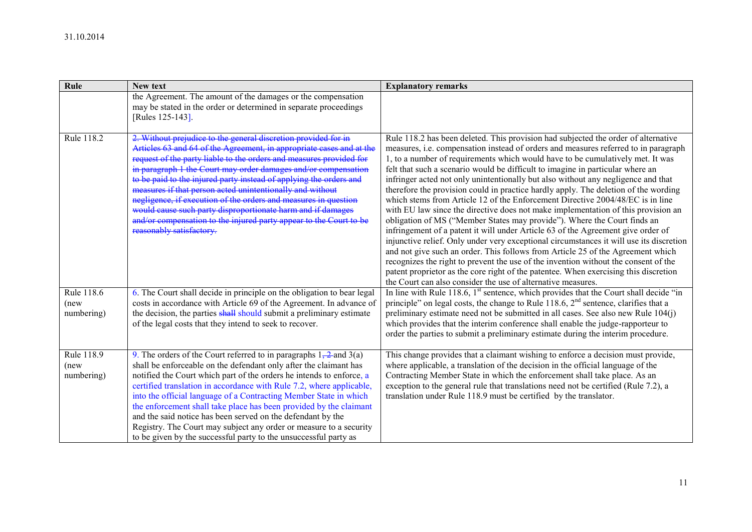| Rule                             | <b>New text</b>                                                                                                                                                                                                                                                                                                                                                                                                                                                                                                                                                                                                                                        | <b>Explanatory remarks</b>                                                                                                                                                                                                                                                                                                                                                                                                                                                                                                                                                                                                                                                                                                                                                                                                                                                                                                                                                                                                                                                                                                                                                                                                                                                                           |
|----------------------------------|--------------------------------------------------------------------------------------------------------------------------------------------------------------------------------------------------------------------------------------------------------------------------------------------------------------------------------------------------------------------------------------------------------------------------------------------------------------------------------------------------------------------------------------------------------------------------------------------------------------------------------------------------------|------------------------------------------------------------------------------------------------------------------------------------------------------------------------------------------------------------------------------------------------------------------------------------------------------------------------------------------------------------------------------------------------------------------------------------------------------------------------------------------------------------------------------------------------------------------------------------------------------------------------------------------------------------------------------------------------------------------------------------------------------------------------------------------------------------------------------------------------------------------------------------------------------------------------------------------------------------------------------------------------------------------------------------------------------------------------------------------------------------------------------------------------------------------------------------------------------------------------------------------------------------------------------------------------------|
|                                  | the Agreement. The amount of the damages or the compensation<br>may be stated in the order or determined in separate proceedings<br>[Rules 125-143].                                                                                                                                                                                                                                                                                                                                                                                                                                                                                                   |                                                                                                                                                                                                                                                                                                                                                                                                                                                                                                                                                                                                                                                                                                                                                                                                                                                                                                                                                                                                                                                                                                                                                                                                                                                                                                      |
| Rule 118.2                       | 2. Without prejudice to the general discretion provided for in<br>Articles 63 and 64 of the Agreement, in appropriate cases and at the<br>request of the party liable to the orders and measures provided for<br>in paragraph 1 the Court may order damages and/or compensation<br>to be paid to the injured party instead of applying the orders and<br>measures if that person acted unintentionally and without<br>negligence, if execution of the orders and measures in question<br>would cause such party disproportionate harm and if damages<br>and/or compensation to the injured party appear to the Court to be<br>reasonably satisfactory. | Rule 118.2 has been deleted. This provision had subjected the order of alternative<br>measures, <i>i.e.</i> compensation instead of orders and measures referred to in paragraph<br>1, to a number of requirements which would have to be cumulatively met. It was<br>felt that such a scenario would be difficult to imagine in particular where an<br>infringer acted not only unintentionally but also without any negligence and that<br>therefore the provision could in practice hardly apply. The deletion of the wording<br>which stems from Article 12 of the Enforcement Directive 2004/48/EC is in line<br>with EU law since the directive does not make implementation of this provision an<br>obligation of MS ("Member States may provide"). Where the Court finds an<br>infringement of a patent it will under Article 63 of the Agreement give order of<br>injunctive relief. Only under very exceptional circumstances it will use its discretion<br>and not give such an order. This follows from Article 25 of the Agreement which<br>recognizes the right to prevent the use of the invention without the consent of the<br>patent proprietor as the core right of the patentee. When exercising this discretion<br>the Court can also consider the use of alternative measures. |
| Rule 118.6<br>(new<br>numbering) | 6. The Court shall decide in principle on the obligation to bear legal<br>costs in accordance with Article 69 of the Agreement. In advance of<br>the decision, the parties shall should submit a preliminary estimate<br>of the legal costs that they intend to seek to recover.                                                                                                                                                                                                                                                                                                                                                                       | In line with Rule 118.6, $1st$ sentence, which provides that the Court shall decide "in<br>principle" on legal costs, the change to Rule 118.6, $2nd$ sentence, clarifies that a<br>preliminary estimate need not be submitted in all cases. See also new Rule 104(j)<br>which provides that the interim conference shall enable the judge-rapporteur to<br>order the parties to submit a preliminary estimate during the interim procedure.                                                                                                                                                                                                                                                                                                                                                                                                                                                                                                                                                                                                                                                                                                                                                                                                                                                         |
| Rule 118.9<br>(new<br>numbering) | 9. The orders of the Court referred to in paragraphs $1, 2$ and $3(a)$<br>shall be enforceable on the defendant only after the claimant has<br>notified the Court which part of the orders he intends to enforce, a<br>certified translation in accordance with Rule 7.2, where applicable,<br>into the official language of a Contracting Member State in which<br>the enforcement shall take place has been provided by the claimant<br>and the said notice has been served on the defendant by the<br>Registry. The Court may subject any order or measure to a security<br>to be given by the successful party to the unsuccessful party as        | This change provides that a claimant wishing to enforce a decision must provide,<br>where applicable, a translation of the decision in the official language of the<br>Contracting Member State in which the enforcement shall take place. As an<br>exception to the general rule that translations need not be certified (Rule 7.2), a<br>translation under Rule 118.9 must be certified by the translator.                                                                                                                                                                                                                                                                                                                                                                                                                                                                                                                                                                                                                                                                                                                                                                                                                                                                                         |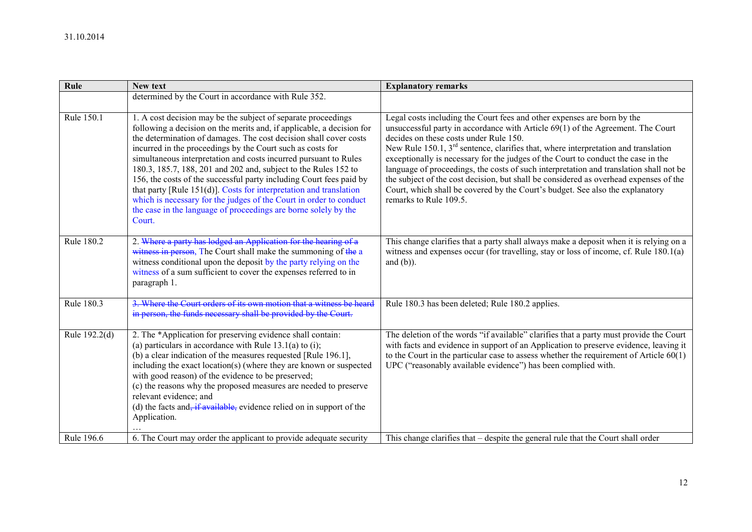| Rule          | New text                                                                                                                                                                                                                                                                                                                                                                                                                                                                                                                                                                                                                                                                                                         | <b>Explanatory remarks</b>                                                                                                                                                                                                                                                                                                                                                                                                                                                                                                                                                                                                                                                      |
|---------------|------------------------------------------------------------------------------------------------------------------------------------------------------------------------------------------------------------------------------------------------------------------------------------------------------------------------------------------------------------------------------------------------------------------------------------------------------------------------------------------------------------------------------------------------------------------------------------------------------------------------------------------------------------------------------------------------------------------|---------------------------------------------------------------------------------------------------------------------------------------------------------------------------------------------------------------------------------------------------------------------------------------------------------------------------------------------------------------------------------------------------------------------------------------------------------------------------------------------------------------------------------------------------------------------------------------------------------------------------------------------------------------------------------|
|               | determined by the Court in accordance with Rule 352.                                                                                                                                                                                                                                                                                                                                                                                                                                                                                                                                                                                                                                                             |                                                                                                                                                                                                                                                                                                                                                                                                                                                                                                                                                                                                                                                                                 |
| Rule 150.1    | 1. A cost decision may be the subject of separate proceedings<br>following a decision on the merits and, if applicable, a decision for<br>the determination of damages. The cost decision shall cover costs<br>incurred in the proceedings by the Court such as costs for<br>simultaneous interpretation and costs incurred pursuant to Rules<br>180.3, 185.7, 188, 201 and 202 and, subject to the Rules 152 to<br>156, the costs of the successful party including Court fees paid by<br>that party [Rule 151(d)]. Costs for interpretation and translation<br>which is necessary for the judges of the Court in order to conduct<br>the case in the language of proceedings are borne solely by the<br>Court. | Legal costs including the Court fees and other expenses are born by the<br>unsuccessful party in accordance with Article 69(1) of the Agreement. The Court<br>decides on these costs under Rule 150.<br>New Rule 150.1, $3rd$ sentence, clarifies that, where interpretation and translation<br>exceptionally is necessary for the judges of the Court to conduct the case in the<br>language of proceedings, the costs of such interpretation and translation shall not be<br>the subject of the cost decision, but shall be considered as overhead expenses of the<br>Court, which shall be covered by the Court's budget. See also the explanatory<br>remarks to Rule 109.5. |
| Rule 180.2    | 2. Where a party has lodged an Application for the hearing of a<br>witness in person, The Court shall make the summoning of the a<br>witness conditional upon the deposit by the party relying on the<br>witness of a sum sufficient to cover the expenses referred to in<br>paragraph 1.                                                                                                                                                                                                                                                                                                                                                                                                                        | This change clarifies that a party shall always make a deposit when it is relying on a<br>witness and expenses occur (for travelling, stay or loss of income, cf. Rule $180.1(a)$ )<br>and $(b)$ ).                                                                                                                                                                                                                                                                                                                                                                                                                                                                             |
| Rule 180.3    | 3. Where the Court orders of its own motion that a witness be heard<br>in person, the funds necessary shall be provided by the Court.                                                                                                                                                                                                                                                                                                                                                                                                                                                                                                                                                                            | Rule 180.3 has been deleted; Rule 180.2 applies.                                                                                                                                                                                                                                                                                                                                                                                                                                                                                                                                                                                                                                |
| Rule 192.2(d) | 2. The *Application for preserving evidence shall contain:<br>(a) particulars in accordance with Rule $13.1(a)$ to (i);<br>(b) a clear indication of the measures requested [Rule 196.1],<br>including the exact location(s) (where they are known or suspected<br>with good reason) of the evidence to be preserved;<br>(c) the reasons why the proposed measures are needed to preserve<br>relevant evidence; and<br>(d) the facts and $\frac{1}{x}$ if available, evidence relied on in support of the<br>Application.                                                                                                                                                                                        | The deletion of the words "if available" clarifies that a party must provide the Court<br>with facts and evidence in support of an Application to preserve evidence, leaving it<br>to the Court in the particular case to assess whether the requirement of Article $60(1)$<br>UPC ("reasonably available evidence") has been complied with.                                                                                                                                                                                                                                                                                                                                    |
| Rule 196.6    | 6. The Court may order the applicant to provide adequate security                                                                                                                                                                                                                                                                                                                                                                                                                                                                                                                                                                                                                                                | This change clarifies that – despite the general rule that the Court shall order                                                                                                                                                                                                                                                                                                                                                                                                                                                                                                                                                                                                |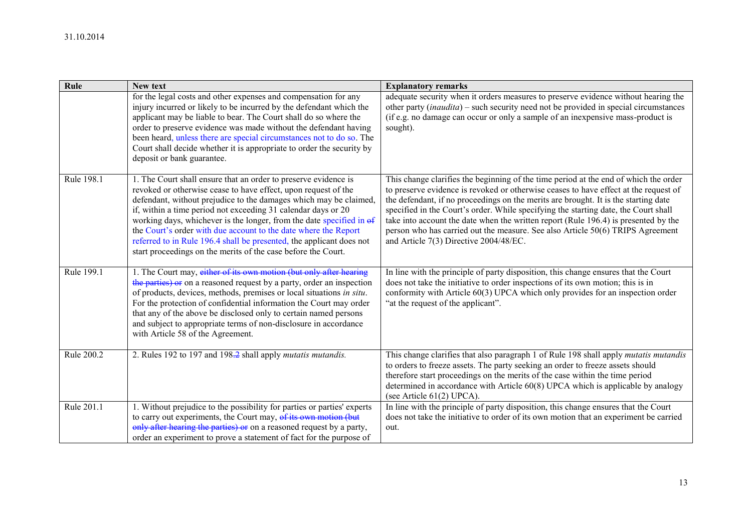| Rule       | New text                                                                                                                                                                                                                                                                                                                                                                                                                                                                                                                                                    | <b>Explanatory remarks</b>                                                                                                                                                                                                                                                                                                                                                                                                                                                                                                                                                    |
|------------|-------------------------------------------------------------------------------------------------------------------------------------------------------------------------------------------------------------------------------------------------------------------------------------------------------------------------------------------------------------------------------------------------------------------------------------------------------------------------------------------------------------------------------------------------------------|-------------------------------------------------------------------------------------------------------------------------------------------------------------------------------------------------------------------------------------------------------------------------------------------------------------------------------------------------------------------------------------------------------------------------------------------------------------------------------------------------------------------------------------------------------------------------------|
|            | for the legal costs and other expenses and compensation for any<br>injury incurred or likely to be incurred by the defendant which the<br>applicant may be liable to bear. The Court shall do so where the<br>order to preserve evidence was made without the defendant having<br>been heard, unless there are special circumstances not to do so. The<br>Court shall decide whether it is appropriate to order the security by<br>deposit or bank guarantee.                                                                                               | adequate security when it orders measures to preserve evidence without hearing the<br>other party $(inaudita)$ – such security need not be provided in special circumstances<br>(if e.g. no damage can occur or only a sample of an inexpensive mass-product is<br>sought).                                                                                                                                                                                                                                                                                                   |
| Rule 198.1 | 1. The Court shall ensure that an order to preserve evidence is<br>revoked or otherwise cease to have effect, upon request of the<br>defendant, without prejudice to the damages which may be claimed.<br>if, within a time period not exceeding 31 calendar days or 20<br>working days, whichever is the longer, from the date specified in of<br>the Court's order with due account to the date where the Report<br>referred to in Rule 196.4 shall be presented, the applicant does not<br>start proceedings on the merits of the case before the Court. | This change clarifies the beginning of the time period at the end of which the order<br>to preserve evidence is revoked or otherwise ceases to have effect at the request of<br>the defendant, if no proceedings on the merits are brought. It is the starting date<br>specified in the Court's order. While specifying the starting date, the Court shall<br>take into account the date when the written report (Rule 196.4) is presented by the<br>person who has carried out the measure. See also Article 50(6) TRIPS Agreement<br>and Article 7(3) Directive 2004/48/EC. |
| Rule 199.1 | 1. The Court may, either of its own motion (but only after hearing<br>the parties) or on a reasoned request by a party, order an inspection<br>of products, devices, methods, premises or local situations in situ.<br>For the protection of confidential information the Court may order<br>that any of the above be disclosed only to certain named persons<br>and subject to appropriate terms of non-disclosure in accordance<br>with Article 58 of the Agreement.                                                                                      | In line with the principle of party disposition, this change ensures that the Court<br>does not take the initiative to order inspections of its own motion; this is in<br>conformity with Article 60(3) UPCA which only provides for an inspection order<br>"at the request of the applicant".                                                                                                                                                                                                                                                                                |
| Rule 200.2 | 2. Rules 192 to 197 and 198.2 shall apply mutatis mutandis.                                                                                                                                                                                                                                                                                                                                                                                                                                                                                                 | This change clarifies that also paragraph 1 of Rule 198 shall apply mutatis mutandis<br>to orders to freeze assets. The party seeking an order to freeze assets should<br>therefore start proceedings on the merits of the case within the time period<br>determined in accordance with Article 60(8) UPCA which is applicable by analogy<br>(see Article 61(2) UPCA).                                                                                                                                                                                                        |
| Rule 201.1 | 1. Without prejudice to the possibility for parties or parties' experts<br>to carry out experiments, the Court may, of its own motion (but<br>only after hearing the parties) or on a reasoned request by a party,<br>order an experiment to prove a statement of fact for the purpose of                                                                                                                                                                                                                                                                   | In line with the principle of party disposition, this change ensures that the Court<br>does not take the initiative to order of its own motion that an experiment be carried<br>out.                                                                                                                                                                                                                                                                                                                                                                                          |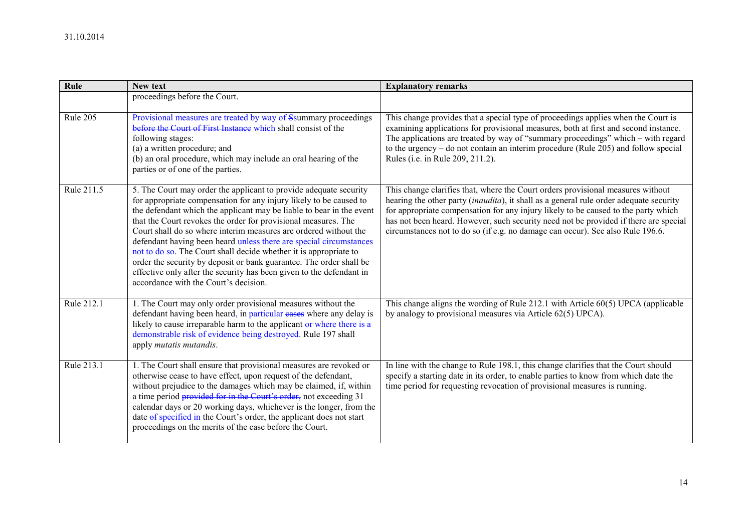| Rule       | New text                                                                                                                                                                                                                                                                                                                                                                                                                                                                                                                                                                                                                                                                                 | <b>Explanatory remarks</b>                                                                                                                                                                                                                                                                                                                                                                                                                |
|------------|------------------------------------------------------------------------------------------------------------------------------------------------------------------------------------------------------------------------------------------------------------------------------------------------------------------------------------------------------------------------------------------------------------------------------------------------------------------------------------------------------------------------------------------------------------------------------------------------------------------------------------------------------------------------------------------|-------------------------------------------------------------------------------------------------------------------------------------------------------------------------------------------------------------------------------------------------------------------------------------------------------------------------------------------------------------------------------------------------------------------------------------------|
|            | proceedings before the Court.                                                                                                                                                                                                                                                                                                                                                                                                                                                                                                                                                                                                                                                            |                                                                                                                                                                                                                                                                                                                                                                                                                                           |
| Rule 205   | Provisional measures are treated by way of Ssummary proceedings<br>before the Court of First Instance which shall consist of the<br>following stages:<br>(a) a written procedure; and<br>(b) an oral procedure, which may include an oral hearing of the<br>parties or of one of the parties.                                                                                                                                                                                                                                                                                                                                                                                            | This change provides that a special type of proceedings applies when the Court is<br>examining applications for provisional measures, both at first and second instance.<br>The applications are treated by way of "summary proceedings" which – with regard<br>to the urgency $-$ do not contain an interim procedure (Rule 205) and follow special<br>Rules (i.e. in Rule 209, 211.2).                                                  |
| Rule 211.5 | 5. The Court may order the applicant to provide adequate security<br>for appropriate compensation for any injury likely to be caused to<br>the defendant which the applicant may be liable to bear in the event<br>that the Court revokes the order for provisional measures. The<br>Court shall do so where interim measures are ordered without the<br>defendant having been heard unless there are special circumstances<br>not to do so. The Court shall decide whether it is appropriate to<br>order the security by deposit or bank guarantee. The order shall be<br>effective only after the security has been given to the defendant in<br>accordance with the Court's decision. | This change clarifies that, where the Court orders provisional measures without<br>hearing the other party (inaudita), it shall as a general rule order adequate security<br>for appropriate compensation for any injury likely to be caused to the party which<br>has not been heard. However, such security need not be provided if there are special<br>circumstances not to do so (if e.g. no damage can occur). See also Rule 196.6. |
| Rule 212.1 | 1. The Court may only order provisional measures without the<br>defendant having been heard, in particular eases where any delay is<br>likely to cause irreparable harm to the applicant or where there is a<br>demonstrable risk of evidence being destroyed. Rule 197 shall<br>apply mutatis mutandis.                                                                                                                                                                                                                                                                                                                                                                                 | This change aligns the wording of Rule 212.1 with Article 60(5) UPCA (applicable<br>by analogy to provisional measures via Article 62(5) UPCA).                                                                                                                                                                                                                                                                                           |
| Rule 213.1 | 1. The Court shall ensure that provisional measures are revoked or<br>otherwise cease to have effect, upon request of the defendant,<br>without prejudice to the damages which may be claimed, if, within<br>a time period provided for in the Court's order, not exceeding 31<br>calendar days or 20 working days, whichever is the longer, from the<br>date of specified in the Court's order, the applicant does not start<br>proceedings on the merits of the case before the Court.                                                                                                                                                                                                 | In line with the change to Rule 198.1, this change clarifies that the Court should<br>specify a starting date in its order, to enable parties to know from which date the<br>time period for requesting revocation of provisional measures is running.                                                                                                                                                                                    |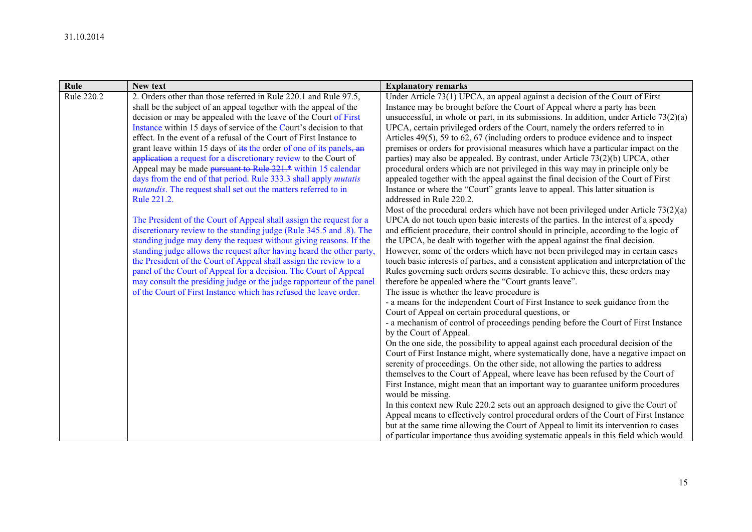| Rule       | New text                                                                | <b>Explanatory remarks</b>                                                                |
|------------|-------------------------------------------------------------------------|-------------------------------------------------------------------------------------------|
| Rule 220.2 | 2. Orders other than those referred in Rule 220.1 and Rule 97.5,        | Under Article 73(1) UPCA, an appeal against a decision of the Court of First              |
|            | shall be the subject of an appeal together with the appeal of the       | Instance may be brought before the Court of Appeal where a party has been                 |
|            | decision or may be appealed with the leave of the Court of First        | unsuccessful, in whole or part, in its submissions. In addition, under Article $73(2)(a)$ |
|            | Instance within 15 days of service of the Court's decision to that      | UPCA, certain privileged orders of the Court, namely the orders referred to in            |
|            | effect. In the event of a refusal of the Court of First Instance to     | Articles $49(5)$ , 59 to 62, 67 (including orders to produce evidence and to inspect      |
|            | grant leave within 15 days of its the order of one of its panels, an    | premises or orders for provisional measures which have a particular impact on the         |
|            | application a request for a discretionary review to the Court of        | parties) may also be appealed. By contrast, under Article 73(2)(b) UPCA, other            |
|            | Appeal may be made pursuant to Rule 221.* within 15 calendar            | procedural orders which are not privileged in this way may in principle only be           |
|            | days from the end of that period. Rule 333.3 shall apply <i>mutatis</i> | appealed together with the appeal against the final decision of the Court of First        |
|            | mutandis. The request shall set out the matters referred to in          | Instance or where the "Court" grants leave to appeal. This latter situation is            |
|            | Rule 221.2.                                                             | addressed in Rule 220.2.                                                                  |
|            |                                                                         | Most of the procedural orders which have not been privileged under Article $73(2)(a)$     |
|            | The President of the Court of Appeal shall assign the request for a     | UPCA do not touch upon basic interests of the parties. In the interest of a speedy        |
|            | discretionary review to the standing judge (Rule 345.5 and .8). The     | and efficient procedure, their control should in principle, according to the logic of     |
|            | standing judge may deny the request without giving reasons. If the      | the UPCA, be dealt with together with the appeal against the final decision.              |
|            | standing judge allows the request after having heard the other party.   | However, some of the orders which have not been privileged may in certain cases           |
|            | the President of the Court of Appeal shall assign the review to a       | touch basic interests of parties, and a consistent application and interpretation of the  |
|            | panel of the Court of Appeal for a decision. The Court of Appeal        | Rules governing such orders seems desirable. To achieve this, these orders may            |
|            | may consult the presiding judge or the judge rapporteur of the panel    | therefore be appealed where the "Court grants leave".                                     |
|            | of the Court of First Instance which has refused the leave order.       | The issue is whether the leave procedure is                                               |
|            |                                                                         | - a means for the independent Court of First Instance to seek guidance from the           |
|            |                                                                         | Court of Appeal on certain procedural questions, or                                       |
|            |                                                                         | - a mechanism of control of proceedings pending before the Court of First Instance        |
|            |                                                                         | by the Court of Appeal.                                                                   |
|            |                                                                         | On the one side, the possibility to appeal against each procedural decision of the        |
|            |                                                                         | Court of First Instance might, where systematically done, have a negative impact on       |
|            |                                                                         | serenity of proceedings. On the other side, not allowing the parties to address           |
|            |                                                                         | themselves to the Court of Appeal, where leave has been refused by the Court of           |
|            |                                                                         | First Instance, might mean that an important way to guarantee uniform procedures          |
|            |                                                                         | would be missing.                                                                         |
|            |                                                                         | In this context new Rule 220.2 sets out an approach designed to give the Court of         |
|            |                                                                         | Appeal means to effectively control procedural orders of the Court of First Instance      |
|            |                                                                         | but at the same time allowing the Court of Appeal to limit its intervention to cases      |
|            |                                                                         | of particular importance thus avoiding systematic appeals in this field which would       |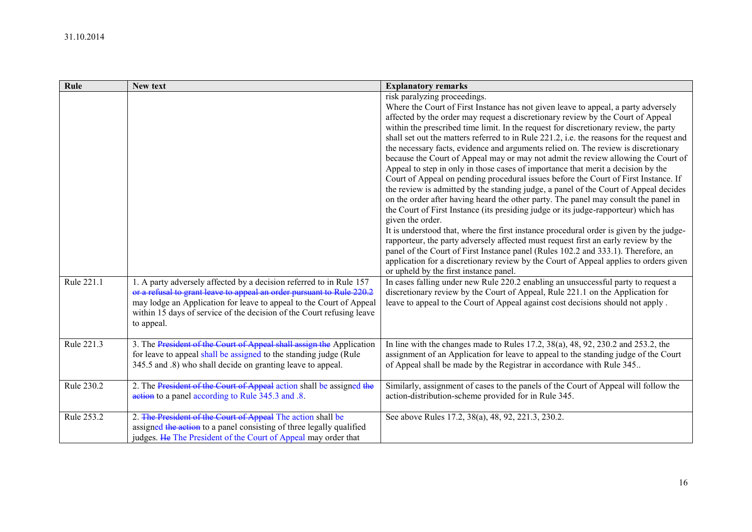| Rule       | New text                                                                                                                                                                                                                                                                                     | <b>Explanatory remarks</b>                                                                                                                                                                                                                                                                                                                                                                                                                                                                                                                                                                                                                                                                                                                                                                                                                                                                                                                                                                                                                                                                                                                                                                                                                                                                                                                                                                                                                                                                                                                                                                                                                                                                                    |
|------------|----------------------------------------------------------------------------------------------------------------------------------------------------------------------------------------------------------------------------------------------------------------------------------------------|---------------------------------------------------------------------------------------------------------------------------------------------------------------------------------------------------------------------------------------------------------------------------------------------------------------------------------------------------------------------------------------------------------------------------------------------------------------------------------------------------------------------------------------------------------------------------------------------------------------------------------------------------------------------------------------------------------------------------------------------------------------------------------------------------------------------------------------------------------------------------------------------------------------------------------------------------------------------------------------------------------------------------------------------------------------------------------------------------------------------------------------------------------------------------------------------------------------------------------------------------------------------------------------------------------------------------------------------------------------------------------------------------------------------------------------------------------------------------------------------------------------------------------------------------------------------------------------------------------------------------------------------------------------------------------------------------------------|
| Rule 221.1 | 1. A party adversely affected by a decision referred to in Rule 157<br>or a refusal to grant leave to appeal an order pursuant to Rule 220.2<br>may lodge an Application for leave to appeal to the Court of Appeal<br>within 15 days of service of the decision of the Court refusing leave | risk paralyzing proceedings.<br>Where the Court of First Instance has not given leave to appeal, a party adversely<br>affected by the order may request a discretionary review by the Court of Appeal<br>within the prescribed time limit. In the request for discretionary review, the party<br>shall set out the matters referred to in Rule 221.2, i.e. the reasons for the request and<br>the necessary facts, evidence and arguments relied on. The review is discretionary<br>because the Court of Appeal may or may not admit the review allowing the Court of<br>Appeal to step in only in those cases of importance that merit a decision by the<br>Court of Appeal on pending procedural issues before the Court of First Instance. If<br>the review is admitted by the standing judge, a panel of the Court of Appeal decides<br>on the order after having heard the other party. The panel may consult the panel in<br>the Court of First Instance (its presiding judge or its judge-rapporteur) which has<br>given the order.<br>It is understood that, where the first instance procedural order is given by the judge-<br>rapporteur, the party adversely affected must request first an early review by the<br>panel of the Court of First Instance panel (Rules 102.2 and 333.1). Therefore, an<br>application for a discretionary review by the Court of Appeal applies to orders given<br>or upheld by the first instance panel.<br>In cases falling under new Rule 220.2 enabling an unsuccessful party to request a<br>discretionary review by the Court of Appeal, Rule 221.1 on the Application for<br>leave to appeal to the Court of Appeal against cost decisions should not apply. |
| Rule 221.3 | to appeal.<br>3. The President of the Court of Appeal shall assign the Application<br>for leave to appeal shall be assigned to the standing judge (Rule<br>345.5 and .8) who shall decide on granting leave to appeal.                                                                       | In line with the changes made to Rules 17.2, 38(a), 48, 92, 230.2 and 253.2, the<br>assignment of an Application for leave to appeal to the standing judge of the Court<br>of Appeal shall be made by the Registrar in accordance with Rule 345.                                                                                                                                                                                                                                                                                                                                                                                                                                                                                                                                                                                                                                                                                                                                                                                                                                                                                                                                                                                                                                                                                                                                                                                                                                                                                                                                                                                                                                                              |
| Rule 230.2 | 2. The President of the Court of Appeal action shall be assigned the<br>action to a panel according to Rule 345.3 and .8.                                                                                                                                                                    | Similarly, assignment of cases to the panels of the Court of Appeal will follow the<br>action-distribution-scheme provided for in Rule 345.                                                                                                                                                                                                                                                                                                                                                                                                                                                                                                                                                                                                                                                                                                                                                                                                                                                                                                                                                                                                                                                                                                                                                                                                                                                                                                                                                                                                                                                                                                                                                                   |
| Rule 253.2 | 2. The President of the Court of Appeal The action shall be<br>assigned the action to a panel consisting of three legally qualified<br>judges. He The President of the Court of Appeal may order that                                                                                        | See above Rules 17.2, 38(a), 48, 92, 221.3, 230.2.                                                                                                                                                                                                                                                                                                                                                                                                                                                                                                                                                                                                                                                                                                                                                                                                                                                                                                                                                                                                                                                                                                                                                                                                                                                                                                                                                                                                                                                                                                                                                                                                                                                            |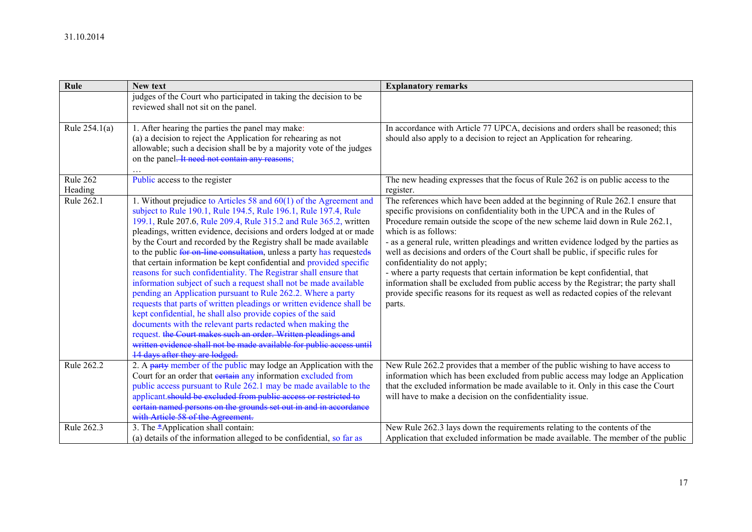| Rule                | New text                                                                                                                                                                                                                                                                                                                                                                                                                                                                                                                                                                                                                                                                                                                                                                                                                                                                                                                                                                                                                                                                                           | <b>Explanatory remarks</b>                                                                                                                                                                                                                                                                                                                                                                                                                                                                                                                                                                                                                                                                                                                                  |
|---------------------|----------------------------------------------------------------------------------------------------------------------------------------------------------------------------------------------------------------------------------------------------------------------------------------------------------------------------------------------------------------------------------------------------------------------------------------------------------------------------------------------------------------------------------------------------------------------------------------------------------------------------------------------------------------------------------------------------------------------------------------------------------------------------------------------------------------------------------------------------------------------------------------------------------------------------------------------------------------------------------------------------------------------------------------------------------------------------------------------------|-------------------------------------------------------------------------------------------------------------------------------------------------------------------------------------------------------------------------------------------------------------------------------------------------------------------------------------------------------------------------------------------------------------------------------------------------------------------------------------------------------------------------------------------------------------------------------------------------------------------------------------------------------------------------------------------------------------------------------------------------------------|
|                     | judges of the Court who participated in taking the decision to be<br>reviewed shall not sit on the panel.                                                                                                                                                                                                                                                                                                                                                                                                                                                                                                                                                                                                                                                                                                                                                                                                                                                                                                                                                                                          |                                                                                                                                                                                                                                                                                                                                                                                                                                                                                                                                                                                                                                                                                                                                                             |
| Rule 254.1(a)       | 1. After hearing the parties the panel may make:<br>(a) a decision to reject the Application for rehearing as not<br>allowable; such a decision shall be by a majority vote of the judges<br>on the panel. It need not contain any reasons:                                                                                                                                                                                                                                                                                                                                                                                                                                                                                                                                                                                                                                                                                                                                                                                                                                                        | In accordance with Article 77 UPCA, decisions and orders shall be reasoned; this<br>should also apply to a decision to reject an Application for rehearing.                                                                                                                                                                                                                                                                                                                                                                                                                                                                                                                                                                                                 |
| Rule 262<br>Heading | Public access to the register                                                                                                                                                                                                                                                                                                                                                                                                                                                                                                                                                                                                                                                                                                                                                                                                                                                                                                                                                                                                                                                                      | The new heading expresses that the focus of Rule 262 is on public access to the<br>register.                                                                                                                                                                                                                                                                                                                                                                                                                                                                                                                                                                                                                                                                |
| Rule 262.1          | 1. Without prejudice to Articles 58 and $60(1)$ of the Agreement and<br>subject to Rule 190.1, Rule 194.5, Rule 196.1, Rule 197.4, Rule<br>199.1, Rule 207.6, Rule 209.4, Rule 315.2 and Rule 365.2, written<br>pleadings, written evidence, decisions and orders lodged at or made<br>by the Court and recorded by the Registry shall be made available<br>to the public for on line consultation, unless a party has requesteds<br>that certain information be kept confidential and provided specific<br>reasons for such confidentiality. The Registrar shall ensure that<br>information subject of such a request shall not be made available<br>pending an Application pursuant to Rule 262.2. Where a party<br>requests that parts of written pleadings or written evidence shall be<br>kept confidential, he shall also provide copies of the said<br>documents with the relevant parts redacted when making the<br>request. the Court makes such an order. Written pleadings and<br>written evidence shall not be made available for public access until<br>14 days after they are lodged | The references which have been added at the beginning of Rule 262.1 ensure that<br>specific provisions on confidentiality both in the UPCA and in the Rules of<br>Procedure remain outside the scope of the new scheme laid down in Rule 262.1,<br>which is as follows:<br>- as a general rule, written pleadings and written evidence lodged by the parties as<br>well as decisions and orders of the Court shall be public, if specific rules for<br>confidentiality do not apply;<br>- where a party requests that certain information be kept confidential, that<br>information shall be excluded from public access by the Registrar; the party shall<br>provide specific reasons for its request as well as redacted copies of the relevant<br>parts. |
| Rule 262.2          | 2. A party member of the public may lodge an Application with the<br>Court for an order that <b>eertain</b> any information excluded from<br>public access pursuant to Rule 262.1 may be made available to the<br>applicant.should be excluded from public access or restricted to<br>certain named persons on the grounds set out in and in accordance<br>with Article 58 of the Agreement.                                                                                                                                                                                                                                                                                                                                                                                                                                                                                                                                                                                                                                                                                                       | New Rule 262.2 provides that a member of the public wishing to have access to<br>information which has been excluded from public access may lodge an Application<br>that the excluded information be made available to it. Only in this case the Court<br>will have to make a decision on the confidentiality issue.                                                                                                                                                                                                                                                                                                                                                                                                                                        |
| Rule 262.3          | 3. The $*$ Application shall contain:<br>(a) details of the information alleged to be confidential, so far as                                                                                                                                                                                                                                                                                                                                                                                                                                                                                                                                                                                                                                                                                                                                                                                                                                                                                                                                                                                      | New Rule 262.3 lays down the requirements relating to the contents of the<br>Application that excluded information be made available. The member of the public                                                                                                                                                                                                                                                                                                                                                                                                                                                                                                                                                                                              |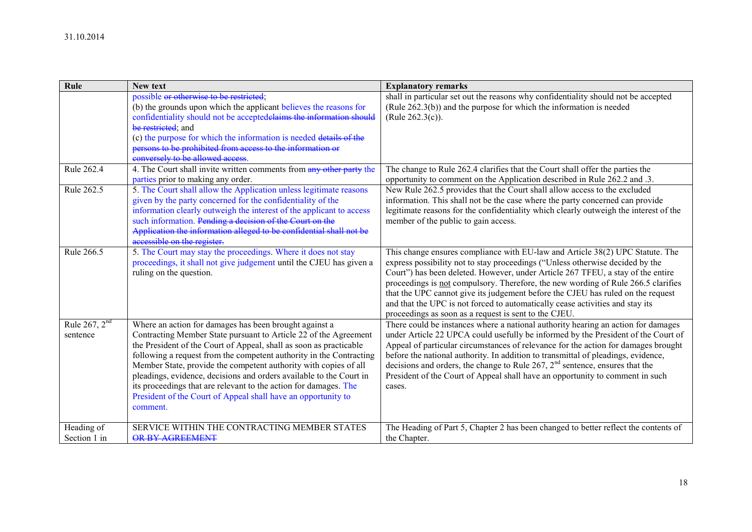| Rule                        | New text                                                                                                                                                        | <b>Explanatory remarks</b>                                                                                                                                                                                                                                                                                                                                                                                                |
|-----------------------------|-----------------------------------------------------------------------------------------------------------------------------------------------------------------|---------------------------------------------------------------------------------------------------------------------------------------------------------------------------------------------------------------------------------------------------------------------------------------------------------------------------------------------------------------------------------------------------------------------------|
|                             | possible or otherwise to be restricted;                                                                                                                         | shall in particular set out the reasons why confidentiality should not be accepted                                                                                                                                                                                                                                                                                                                                        |
|                             | (b) the grounds upon which the applicant believes the reasons for                                                                                               | (Rule $262.3(b)$ ) and the purpose for which the information is needed                                                                                                                                                                                                                                                                                                                                                    |
|                             | confidentiality should not be acceptedelaims the information should                                                                                             | (Rule $262.3(c)$ ).                                                                                                                                                                                                                                                                                                                                                                                                       |
|                             | be restricted; and                                                                                                                                              |                                                                                                                                                                                                                                                                                                                                                                                                                           |
|                             | (c) the purpose for which the information is needed details of the                                                                                              |                                                                                                                                                                                                                                                                                                                                                                                                                           |
|                             | persons to be prohibited from access to the information or                                                                                                      |                                                                                                                                                                                                                                                                                                                                                                                                                           |
|                             | conversely to be allowed access                                                                                                                                 |                                                                                                                                                                                                                                                                                                                                                                                                                           |
| Rule 262.4                  | 4. The Court shall invite written comments from any other party the                                                                                             | The change to Rule 262.4 clarifies that the Court shall offer the parties the                                                                                                                                                                                                                                                                                                                                             |
|                             | parties prior to making any order.                                                                                                                              | opportunity to comment on the Application described in Rule 262.2 and .3.                                                                                                                                                                                                                                                                                                                                                 |
| Rule 262.5                  | 5. The Court shall allow the Application unless legitimate reasons                                                                                              | New Rule 262.5 provides that the Court shall allow access to the excluded                                                                                                                                                                                                                                                                                                                                                 |
|                             | given by the party concerned for the confidentiality of the                                                                                                     | information. This shall not be the case where the party concerned can provide                                                                                                                                                                                                                                                                                                                                             |
|                             | information clearly outweigh the interest of the applicant to access                                                                                            | legitimate reasons for the confidentiality which clearly outweigh the interest of the                                                                                                                                                                                                                                                                                                                                     |
|                             | such information. Pending a decision of the Court on the                                                                                                        | member of the public to gain access.                                                                                                                                                                                                                                                                                                                                                                                      |
|                             | Application the information alleged to be confidential shall not be                                                                                             |                                                                                                                                                                                                                                                                                                                                                                                                                           |
|                             | accessible on the register.                                                                                                                                     |                                                                                                                                                                                                                                                                                                                                                                                                                           |
| Rule 266.5                  | 5. The Court may stay the proceedings. Where it does not stay<br>proceedings, it shall not give judgement until the CJEU has given a<br>ruling on the question. | This change ensures compliance with EU-law and Article 38(2) UPC Statute. The<br>express possibility not to stay proceedings ("Unless otherwise decided by the<br>Court") has been deleted. However, under Article 267 TFEU, a stay of the entire<br>proceedings is not compulsory. Therefore, the new wording of Rule 266.5 clarifies<br>that the UPC cannot give its judgement before the CJEU has ruled on the request |
|                             |                                                                                                                                                                 | and that the UPC is not forced to automatically cease activities and stay its                                                                                                                                                                                                                                                                                                                                             |
|                             |                                                                                                                                                                 | proceedings as soon as a request is sent to the CJEU.                                                                                                                                                                                                                                                                                                                                                                     |
| Rule 267, $2nd$<br>sentence | Where an action for damages has been brought against a<br>Contracting Member State pursuant to Article 22 of the Agreement                                      | There could be instances where a national authority hearing an action for damages<br>under Article 22 UPCA could usefully be informed by the President of the Court of                                                                                                                                                                                                                                                    |
|                             | the President of the Court of Appeal, shall as soon as practicable                                                                                              | Appeal of particular circumstances of relevance for the action for damages brought                                                                                                                                                                                                                                                                                                                                        |
|                             | following a request from the competent authority in the Contracting                                                                                             | before the national authority. In addition to transmittal of pleadings, evidence,                                                                                                                                                                                                                                                                                                                                         |
|                             | Member State, provide the competent authority with copies of all                                                                                                | decisions and orders, the change to Rule $267$ , $2nd$ sentence, ensures that the                                                                                                                                                                                                                                                                                                                                         |
|                             | pleadings, evidence, decisions and orders available to the Court in                                                                                             | President of the Court of Appeal shall have an opportunity to comment in such                                                                                                                                                                                                                                                                                                                                             |
|                             | its proceedings that are relevant to the action for damages. The                                                                                                | cases.                                                                                                                                                                                                                                                                                                                                                                                                                    |
|                             | President of the Court of Appeal shall have an opportunity to                                                                                                   |                                                                                                                                                                                                                                                                                                                                                                                                                           |
|                             | comment.                                                                                                                                                        |                                                                                                                                                                                                                                                                                                                                                                                                                           |
|                             |                                                                                                                                                                 |                                                                                                                                                                                                                                                                                                                                                                                                                           |
| Heading of                  | SERVICE WITHIN THE CONTRACTING MEMBER STATES                                                                                                                    | The Heading of Part 5, Chapter 2 has been changed to better reflect the contents of                                                                                                                                                                                                                                                                                                                                       |
| Section 1 in                | OR BY AGREEMENT                                                                                                                                                 | the Chapter.                                                                                                                                                                                                                                                                                                                                                                                                              |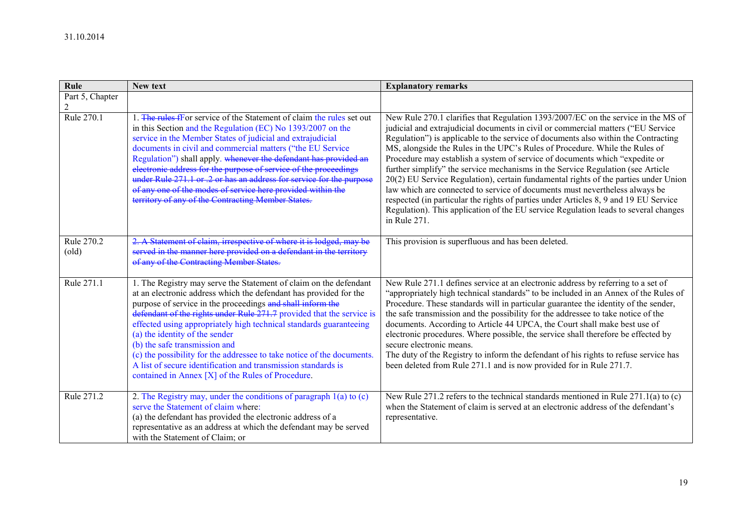| Rule                         | New text                                                                                                                                                                                                                                                                                                                                                                                                                                                                                                                                                                                                               | <b>Explanatory remarks</b>                                                                                                                                                                                                                                                                                                                                                                                                                                                                                                                                                                                                                                                                                                                                                                                                                                                        |
|------------------------------|------------------------------------------------------------------------------------------------------------------------------------------------------------------------------------------------------------------------------------------------------------------------------------------------------------------------------------------------------------------------------------------------------------------------------------------------------------------------------------------------------------------------------------------------------------------------------------------------------------------------|-----------------------------------------------------------------------------------------------------------------------------------------------------------------------------------------------------------------------------------------------------------------------------------------------------------------------------------------------------------------------------------------------------------------------------------------------------------------------------------------------------------------------------------------------------------------------------------------------------------------------------------------------------------------------------------------------------------------------------------------------------------------------------------------------------------------------------------------------------------------------------------|
| Part 5, Chapter              |                                                                                                                                                                                                                                                                                                                                                                                                                                                                                                                                                                                                                        |                                                                                                                                                                                                                                                                                                                                                                                                                                                                                                                                                                                                                                                                                                                                                                                                                                                                                   |
| Rule 270.1                   | . The rules for service of the Statement of claim the rules set out<br>in this Section and the Regulation (EC) No 1393/2007 on the<br>service in the Member States of judicial and extrajudicial<br>documents in civil and commercial matters ("the EU Service<br>Regulation") shall apply. whenever the defendant has provided an<br>electronic address for the purpose of service of the proceedings<br>under Rule 271.1 or .2 or has an address for service for the purpose<br>of any one of the modes of service here provided within the<br>territory of any of the Contracting Member States.                    | New Rule 270.1 clarifies that Regulation 1393/2007/EC on the service in the MS of<br>judicial and extrajudicial documents in civil or commercial matters ("EU Service<br>Regulation") is applicable to the service of documents also within the Contracting<br>MS, alongside the Rules in the UPC's Rules of Procedure. While the Rules of<br>Procedure may establish a system of service of documents which "expedite or<br>further simplify" the service mechanisms in the Service Regulation (see Article<br>20(2) EU Service Regulation), certain fundamental rights of the parties under Union<br>law which are connected to service of documents must nevertheless always be<br>respected (in particular the rights of parties under Articles 8, 9 and 19 EU Service<br>Regulation). This application of the EU service Regulation leads to several changes<br>in Rule 271. |
| Rule 270.2<br>$\text{(old)}$ | A Statement of claim, irrespective of where it is lodged, may be<br>served in the manner here provided on a defendant in the territory<br>of any of the Contracting Member States.                                                                                                                                                                                                                                                                                                                                                                                                                                     | This provision is superfluous and has been deleted.                                                                                                                                                                                                                                                                                                                                                                                                                                                                                                                                                                                                                                                                                                                                                                                                                               |
| Rule 271.1                   | 1. The Registry may serve the Statement of claim on the defendant<br>at an electronic address which the defendant has provided for the<br>purpose of service in the proceedings and shall inform the<br>defendant of the rights under Rule 271.7 provided that the service is<br>effected using appropriately high technical standards guaranteeing<br>(a) the identity of the sender<br>(b) the safe transmission and<br>(c) the possibility for the addressee to take notice of the documents.<br>A list of secure identification and transmission standards is<br>contained in Annex [X] of the Rules of Procedure. | New Rule 271.1 defines service at an electronic address by referring to a set of<br>"appropriately high technical standards" to be included in an Annex of the Rules of<br>Procedure. These standards will in particular guarantee the identity of the sender,<br>the safe transmission and the possibility for the addressee to take notice of the<br>documents. According to Article 44 UPCA, the Court shall make best use of<br>electronic procedures. Where possible, the service shall therefore be effected by<br>secure electronic means.<br>The duty of the Registry to inform the defendant of his rights to refuse service has<br>been deleted from Rule 271.1 and is now provided for in Rule 271.7.                                                                                                                                                                  |
| Rule 271.2                   | 2. The Registry may, under the conditions of paragraph $1(a)$ to $(c)$<br>serve the Statement of claim where:<br>(a) the defendant has provided the electronic address of a<br>representative as an address at which the defendant may be served<br>with the Statement of Claim; or                                                                                                                                                                                                                                                                                                                                    | New Rule 271.2 refers to the technical standards mentioned in Rule $271.1(a)$ to (c)<br>when the Statement of claim is served at an electronic address of the defendant's<br>representative.                                                                                                                                                                                                                                                                                                                                                                                                                                                                                                                                                                                                                                                                                      |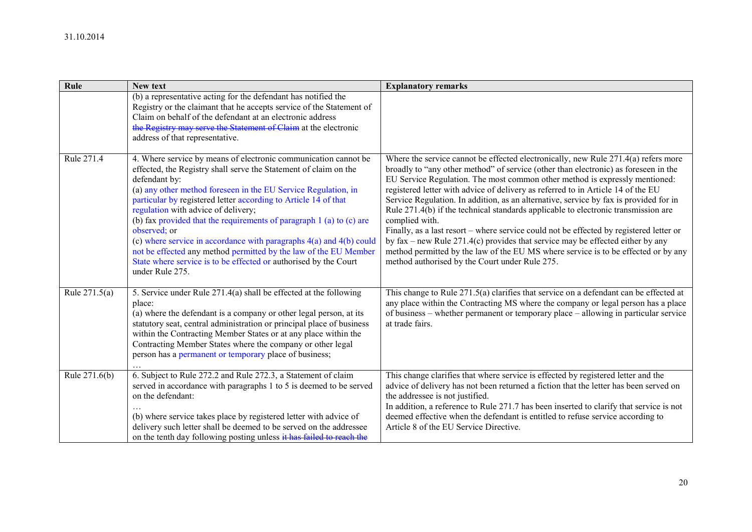| Rule            | New text                                                                                                                                                                                                                                                                                                                                                                                                                                                                                                                                                                                                                                                       | <b>Explanatory remarks</b>                                                                                                                                                                                                                                                                                                                                                                                                                                                                                                                                                                                                                                                                                                                                                                                                                                                  |
|-----------------|----------------------------------------------------------------------------------------------------------------------------------------------------------------------------------------------------------------------------------------------------------------------------------------------------------------------------------------------------------------------------------------------------------------------------------------------------------------------------------------------------------------------------------------------------------------------------------------------------------------------------------------------------------------|-----------------------------------------------------------------------------------------------------------------------------------------------------------------------------------------------------------------------------------------------------------------------------------------------------------------------------------------------------------------------------------------------------------------------------------------------------------------------------------------------------------------------------------------------------------------------------------------------------------------------------------------------------------------------------------------------------------------------------------------------------------------------------------------------------------------------------------------------------------------------------|
|                 | (b) a representative acting for the defendant has notified the<br>Registry or the claimant that he accepts service of the Statement of<br>Claim on behalf of the defendant at an electronic address<br>the Registry may serve the Statement of Claim at the electronic<br>address of that representative.                                                                                                                                                                                                                                                                                                                                                      |                                                                                                                                                                                                                                                                                                                                                                                                                                                                                                                                                                                                                                                                                                                                                                                                                                                                             |
| Rule 271.4      | 4. Where service by means of electronic communication cannot be<br>effected, the Registry shall serve the Statement of claim on the<br>defendant by:<br>(a) any other method foreseen in the EU Service Regulation, in<br>particular by registered letter according to Article 14 of that<br>regulation with advice of delivery;<br>(b) fax provided that the requirements of paragraph 1 (a) to (c) are<br>observed; or<br>(c) where service in accordance with paragraphs $4(a)$ and $4(b)$ could<br>not be effected any method permitted by the law of the EU Member<br>State where service is to be effected or authorised by the Court<br>under Rule 275. | Where the service cannot be effected electronically, new Rule 271.4(a) refers more<br>broadly to "any other method" of service (other than electronic) as foreseen in the<br>EU Service Regulation. The most common other method is expressly mentioned:<br>registered letter with advice of delivery as referred to in Article 14 of the EU<br>Service Regulation. In addition, as an alternative, service by fax is provided for in<br>Rule 271.4(b) if the technical standards applicable to electronic transmission are<br>complied with.<br>Finally, as a last resort – where service could not be effected by registered letter or<br>by $\text{fax}$ – new Rule 271.4(c) provides that service may be effected either by any<br>method permitted by the law of the EU MS where service is to be effected or by any<br>method authorised by the Court under Rule 275. |
| Rule $271.5(a)$ | 5. Service under Rule 271.4(a) shall be effected at the following<br>place:<br>(a) where the defendant is a company or other legal person, at its<br>statutory seat, central administration or principal place of business<br>within the Contracting Member States or at any place within the<br>Contracting Member States where the company or other legal<br>person has a permanent or temporary place of business;                                                                                                                                                                                                                                          | This change to Rule 271.5(a) clarifies that service on a defendant can be effected at<br>any place within the Contracting MS where the company or legal person has a place<br>of business – whether permanent or temporary place – allowing in particular service<br>at trade fairs.                                                                                                                                                                                                                                                                                                                                                                                                                                                                                                                                                                                        |
| Rule 271.6(b)   | 6. Subject to Rule 272.2 and Rule 272.3, a Statement of claim<br>served in accordance with paragraphs 1 to 5 is deemed to be served<br>on the defendant:<br>(b) where service takes place by registered letter with advice of<br>delivery such letter shall be deemed to be served on the addressee<br>on the tenth day following posting unless it has failed to reach the                                                                                                                                                                                                                                                                                    | This change clarifies that where service is effected by registered letter and the<br>advice of delivery has not been returned a fiction that the letter has been served on<br>the addressee is not justified.<br>In addition, a reference to Rule 271.7 has been inserted to clarify that service is not<br>deemed effective when the defendant is entitled to refuse service according to<br>Article 8 of the EU Service Directive.                                                                                                                                                                                                                                                                                                                                                                                                                                        |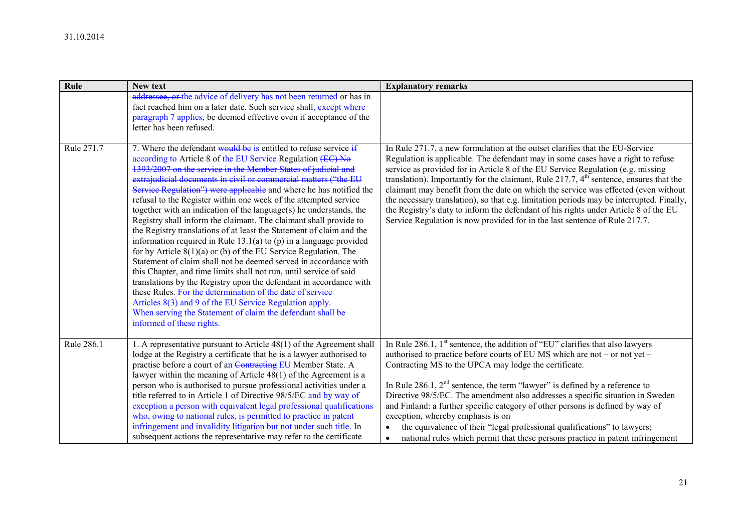| Rule       | New text                                                                                                                                                                                                                                                                                                                                                                                                                                                                                                                                                                                                                                                                                                                                                                                                                                                                                                                                                                                                                                                                                                                                                                                                                       | <b>Explanatory remarks</b>                                                                                                                                                                                                                                                                                                                                                                                                                                                                                                                                                                                                                                                                                       |
|------------|--------------------------------------------------------------------------------------------------------------------------------------------------------------------------------------------------------------------------------------------------------------------------------------------------------------------------------------------------------------------------------------------------------------------------------------------------------------------------------------------------------------------------------------------------------------------------------------------------------------------------------------------------------------------------------------------------------------------------------------------------------------------------------------------------------------------------------------------------------------------------------------------------------------------------------------------------------------------------------------------------------------------------------------------------------------------------------------------------------------------------------------------------------------------------------------------------------------------------------|------------------------------------------------------------------------------------------------------------------------------------------------------------------------------------------------------------------------------------------------------------------------------------------------------------------------------------------------------------------------------------------------------------------------------------------------------------------------------------------------------------------------------------------------------------------------------------------------------------------------------------------------------------------------------------------------------------------|
|            | addressee, or the advice of delivery has not been returned or has in<br>fact reached him on a later date. Such service shall, except where<br>paragraph 7 applies, be deemed effective even if acceptance of the<br>letter has been refused.                                                                                                                                                                                                                                                                                                                                                                                                                                                                                                                                                                                                                                                                                                                                                                                                                                                                                                                                                                                   |                                                                                                                                                                                                                                                                                                                                                                                                                                                                                                                                                                                                                                                                                                                  |
| Rule 271.7 | 7. Where the defendant would be is entitled to refuse service $\frac{1}{2}$<br>according to Article 8 of the EU Service Regulation (EC) No<br>1393/2007 on the service in the Member States of judicial and<br>extrajudicial documents in civil or commercial matters ("the EU<br>Service Regulation") were applicable and where he has notified the<br>refusal to the Register within one week of the attempted service<br>together with an indication of the language $(s)$ he understands, the<br>Registry shall inform the claimant. The claimant shall provide to<br>the Registry translations of at least the Statement of claim and the<br>information required in Rule $13.1(a)$ to (p) in a language provided<br>for by Article $8(1)(a)$ or (b) of the EU Service Regulation. The<br>Statement of claim shall not be deemed served in accordance with<br>this Chapter, and time limits shall not run, until service of said<br>translations by the Registry upon the defendant in accordance with<br>these Rules. For the determination of the date of service<br>Articles 8(3) and 9 of the EU Service Regulation apply.<br>When serving the Statement of claim the defendant shall be<br>informed of these rights. | In Rule 271.7, a new formulation at the outset clarifies that the EU-Service<br>Regulation is applicable. The defendant may in some cases have a right to refuse<br>service as provided for in Article 8 of the EU Service Regulation (e.g. missing<br>translation). Importantly for the claimant, Rule 217.7, 4 <sup>th</sup> sentence, ensures that the<br>claimant may benefit from the date on which the service was effected (even without<br>the necessary translation), so that e.g. limitation periods may be interrupted. Finally,<br>the Registry's duty to inform the defendant of his rights under Article 8 of the EU<br>Service Regulation is now provided for in the last sentence of Rule 217.7. |
| Rule 286.1 | 1. A representative pursuant to Article 48(1) of the Agreement shall<br>lodge at the Registry a certificate that he is a lawyer authorised to<br>practise before a court of an Contracting EU Member State. A<br>lawyer within the meaning of Article $48(1)$ of the Agreement is a<br>person who is authorised to pursue professional activities under a<br>title referred to in Article 1 of Directive 98/5/EC and by way of<br>exception a person with equivalent legal professional qualifications<br>who, owing to national rules, is permitted to practice in patent<br>infringement and invalidity litigation but not under such title. In<br>subsequent actions the representative may refer to the certificate                                                                                                                                                                                                                                                                                                                                                                                                                                                                                                        | In Rule 286.1, $1st$ sentence, the addition of "EU" clarifies that also lawyers<br>authorised to practice before courts of EU MS which are not – or not yet –<br>Contracting MS to the UPCA may lodge the certificate.<br>In Rule 286.1, $2nd$ sentence, the term "lawyer" is defined by a reference to<br>Directive 98/5/EC. The amendment also addresses a specific situation in Sweden<br>and Finland: a further specific category of other persons is defined by way of<br>exception, whereby emphasis is on<br>the equivalence of their "legal professional qualifications" to lawyers;<br>$\bullet$<br>national rules which permit that these persons practice in patent infringement<br>$\bullet$         |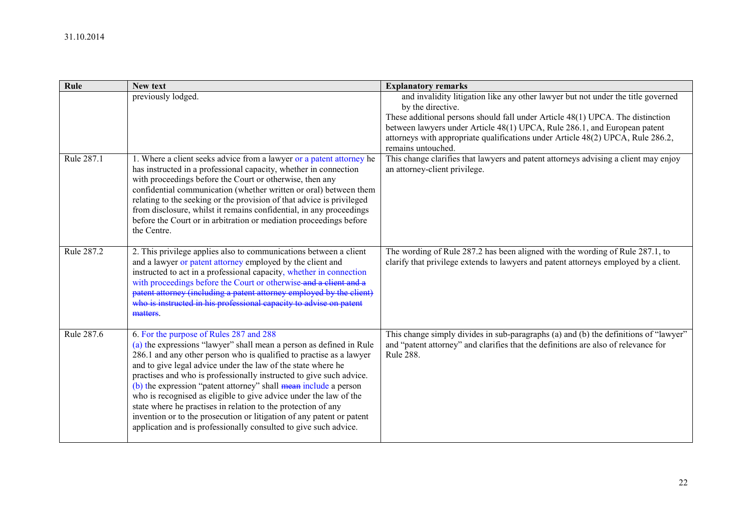| Rule       | New text                                                                                                                                                                                                                                                                                                                                                                                                                                                                                                                                                                                                                                                                            | <b>Explanatory remarks</b>                                                                                                                                                                     |
|------------|-------------------------------------------------------------------------------------------------------------------------------------------------------------------------------------------------------------------------------------------------------------------------------------------------------------------------------------------------------------------------------------------------------------------------------------------------------------------------------------------------------------------------------------------------------------------------------------------------------------------------------------------------------------------------------------|------------------------------------------------------------------------------------------------------------------------------------------------------------------------------------------------|
|            | previously lodged.                                                                                                                                                                                                                                                                                                                                                                                                                                                                                                                                                                                                                                                                  | and invalidity litigation like any other lawyer but not under the title governed<br>by the directive.<br>These additional persons should fall under Article 48(1) UPCA. The distinction        |
|            |                                                                                                                                                                                                                                                                                                                                                                                                                                                                                                                                                                                                                                                                                     | between lawyers under Article 48(1) UPCA, Rule 286.1, and European patent<br>attorneys with appropriate qualifications under Article 48(2) UPCA, Rule 286.2,<br>remains untouched.             |
| Rule 287.1 | 1. Where a client seeks advice from a lawyer or a patent attorney he<br>has instructed in a professional capacity, whether in connection<br>with proceedings before the Court or otherwise, then any<br>confidential communication (whether written or oral) between them<br>relating to the seeking or the provision of that advice is privileged<br>from disclosure, whilst it remains confidential, in any proceedings<br>before the Court or in arbitration or mediation proceedings before<br>the Centre.                                                                                                                                                                      | This change clarifies that lawyers and patent attorneys advising a client may enjoy<br>an attorney-client privilege.                                                                           |
| Rule 287.2 | 2. This privilege applies also to communications between a client<br>and a lawyer or patent attorney employed by the client and<br>instructed to act in a professional capacity, whether in connection<br>with proceedings before the Court or otherwise and a client and a<br>patent attorney (including a patent attorney employed by the client)<br>who is instructed in his professional capacity to advise on patent<br>matters.                                                                                                                                                                                                                                               | The wording of Rule 287.2 has been aligned with the wording of Rule 287.1, to<br>clarify that privilege extends to lawyers and patent attorneys employed by a client.                          |
| Rule 287.6 | 6. For the purpose of Rules 287 and 288<br>(a) the expressions "lawyer" shall mean a person as defined in Rule<br>286.1 and any other person who is qualified to practise as a lawyer<br>and to give legal advice under the law of the state where he<br>practises and who is professionally instructed to give such advice.<br>(b) the expression "patent attorney" shall mean include a person<br>who is recognised as eligible to give advice under the law of the<br>state where he practises in relation to the protection of any<br>invention or to the prosecution or litigation of any patent or patent<br>application and is professionally consulted to give such advice. | This change simply divides in sub-paragraphs (a) and (b) the definitions of "lawyer"<br>and "patent attorney" and clarifies that the definitions are also of relevance for<br><b>Rule 288.</b> |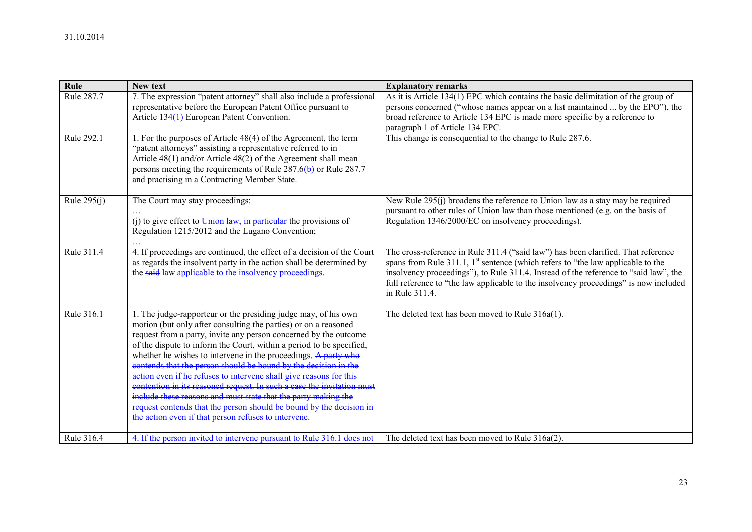| Rule          | <b>New text</b>                                                                                                                                                                                                                                                                                                                                                                                                                                                                                                                                                                                                                                                                                                                                                     | <b>Explanatory remarks</b>                                                                                                                                                                                                                                                                                                                                                  |
|---------------|---------------------------------------------------------------------------------------------------------------------------------------------------------------------------------------------------------------------------------------------------------------------------------------------------------------------------------------------------------------------------------------------------------------------------------------------------------------------------------------------------------------------------------------------------------------------------------------------------------------------------------------------------------------------------------------------------------------------------------------------------------------------|-----------------------------------------------------------------------------------------------------------------------------------------------------------------------------------------------------------------------------------------------------------------------------------------------------------------------------------------------------------------------------|
| Rule 287.7    | 7. The expression "patent attorney" shall also include a professional<br>representative before the European Patent Office pursuant to<br>Article 134(1) European Patent Convention.                                                                                                                                                                                                                                                                                                                                                                                                                                                                                                                                                                                 | As it is Article 134(1) EPC which contains the basic delimitation of the group of<br>persons concerned ("whose names appear on a list maintained  by the EPO"), the<br>broad reference to Article 134 EPC is made more specific by a reference to<br>paragraph 1 of Article 134 EPC.                                                                                        |
| Rule 292.1    | 1. For the purposes of Article 48(4) of the Agreement, the term<br>"patent attorneys" assisting a representative referred to in<br>Article 48(1) and/or Article 48(2) of the Agreement shall mean<br>persons meeting the requirements of Rule $287.6(b)$ or Rule 287.7<br>and practising in a Contracting Member State.                                                                                                                                                                                                                                                                                                                                                                                                                                             | This change is consequential to the change to Rule 287.6.                                                                                                                                                                                                                                                                                                                   |
| Rule $295(i)$ | The Court may stay proceedings:<br>(i) to give effect to Union law, in particular the provisions of<br>Regulation 1215/2012 and the Lugano Convention;                                                                                                                                                                                                                                                                                                                                                                                                                                                                                                                                                                                                              | New Rule 295(j) broadens the reference to Union law as a stay may be required<br>pursuant to other rules of Union law than those mentioned (e.g. on the basis of<br>Regulation 1346/2000/EC on insolvency proceedings).                                                                                                                                                     |
| Rule 311.4    | 4. If proceedings are continued, the effect of a decision of the Court<br>as regards the insolvent party in the action shall be determined by<br>the said law applicable to the insolvency proceedings.                                                                                                                                                                                                                                                                                                                                                                                                                                                                                                                                                             | The cross-reference in Rule 311.4 ("said law") has been clarified. That reference<br>spans from Rule 311.1, $1^{st}$ sentence (which refers to "the law applicable to the<br>insolvency proceedings"), to Rule 311.4. Instead of the reference to "said law", the<br>full reference to "the law applicable to the insolvency proceedings" is now included<br>in Rule 311.4. |
| Rule 316.1    | 1. The judge-rapporteur or the presiding judge may, of his own<br>motion (but only after consulting the parties) or on a reasoned<br>request from a party, invite any person concerned by the outcome<br>of the dispute to inform the Court, within a period to be specified,<br>whether he wishes to intervene in the proceedings. A party who<br>contends that the person should be bound by the decision in the<br>action even if he refuses to intervene shall give reasons for this<br>contention in its reasoned request. In such a case the invitation must<br>include these reasons and must state that the party making the<br>request contends that the person should be bound by the decision in<br>the action even if that person refuses to intervene. | The deleted text has been moved to Rule 316a(1).                                                                                                                                                                                                                                                                                                                            |
| Rule 316.4    | 4. If the person invited to intervene pursuant to Rule 316.1 does not                                                                                                                                                                                                                                                                                                                                                                                                                                                                                                                                                                                                                                                                                               | The deleted text has been moved to Rule 316a(2).                                                                                                                                                                                                                                                                                                                            |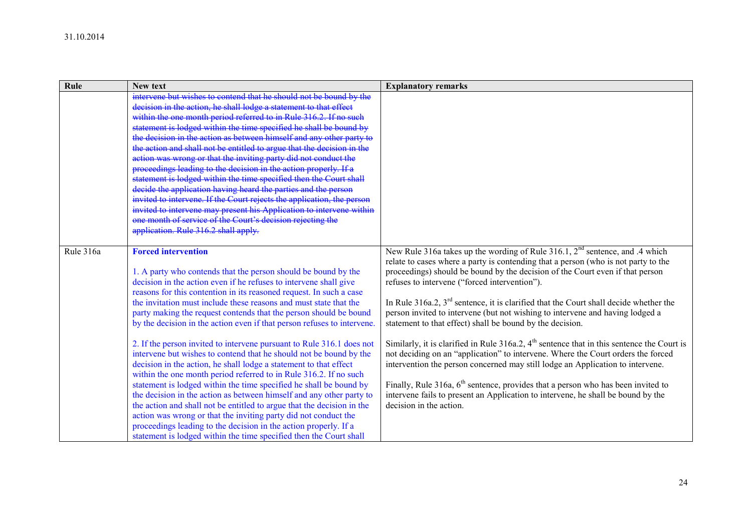| Rule      | New text                                                                                                                                                                                                                                                                                                                                                                                                                                                                                                                                                                                                                                                                                                                                                                                                                                                                                                                                                                                                                                                                                                                                                                                    | <b>Explanatory remarks</b>                                                                                                                                                                                                                                                                                                                                                                                                                                                                                                                                                                                                                                                                                                                                                                                                                                                                                                                                                                                                       |
|-----------|---------------------------------------------------------------------------------------------------------------------------------------------------------------------------------------------------------------------------------------------------------------------------------------------------------------------------------------------------------------------------------------------------------------------------------------------------------------------------------------------------------------------------------------------------------------------------------------------------------------------------------------------------------------------------------------------------------------------------------------------------------------------------------------------------------------------------------------------------------------------------------------------------------------------------------------------------------------------------------------------------------------------------------------------------------------------------------------------------------------------------------------------------------------------------------------------|----------------------------------------------------------------------------------------------------------------------------------------------------------------------------------------------------------------------------------------------------------------------------------------------------------------------------------------------------------------------------------------------------------------------------------------------------------------------------------------------------------------------------------------------------------------------------------------------------------------------------------------------------------------------------------------------------------------------------------------------------------------------------------------------------------------------------------------------------------------------------------------------------------------------------------------------------------------------------------------------------------------------------------|
|           | intervene but wishes to contend that he should not be bound by the<br>decision in the action, he shall lodge a statement to that effect<br>within the one month period referred to in Rule 316.2. If no such<br>statement is lodged within the time specified he shall be bound by<br>the decision in the action as between himself and any other party to<br>the action and shall not be entitled to argue that the decision in the<br>action was wrong or that the inviting party did not conduct the<br>proceedings leading to the decision in the action properly. If a<br>statement is lodged within the time specified then the Court shall<br>decide the application having heard the parties and the person<br>invited to intervene. If the Court rejects the application, the person<br>invited to intervene may present his Application to intervene within<br>one month of service of the Court's decision rejecting the<br>application. Rule 316.2 shall apply.                                                                                                                                                                                                                 |                                                                                                                                                                                                                                                                                                                                                                                                                                                                                                                                                                                                                                                                                                                                                                                                                                                                                                                                                                                                                                  |
| Rule 316a | <b>Forced intervention</b><br>1. A party who contends that the person should be bound by the<br>decision in the action even if he refuses to intervene shall give<br>reasons for this contention in its reasoned request. In such a case<br>the invitation must include these reasons and must state that the<br>party making the request contends that the person should be bound<br>by the decision in the action even if that person refuses to intervene.<br>2. If the person invited to intervene pursuant to Rule 316.1 does not<br>intervene but wishes to contend that he should not be bound by the<br>decision in the action, he shall lodge a statement to that effect<br>within the one month period referred to in Rule 316.2. If no such<br>statement is lodged within the time specified he shall be bound by<br>the decision in the action as between himself and any other party to<br>the action and shall not be entitled to argue that the decision in the<br>action was wrong or that the inviting party did not conduct the<br>proceedings leading to the decision in the action properly. If a<br>statement is lodged within the time specified then the Court shall | New Rule 316a takes up the wording of Rule 316.1, $2nd$ sentence, and .4 which<br>relate to cases where a party is contending that a person (who is not party to the<br>proceedings) should be bound by the decision of the Court even if that person<br>refuses to intervene ("forced intervention").<br>In Rule 316a.2, $3^{rd}$ sentence, it is clarified that the Court shall decide whether the<br>person invited to intervene (but not wishing to intervene and having lodged a<br>statement to that effect) shall be bound by the decision.<br>Similarly, it is clarified in Rule $316a.2$ , $4th$ sentence that in this sentence the Court is<br>not deciding on an "application" to intervene. Where the Court orders the forced<br>intervention the person concerned may still lodge an Application to intervene.<br>Finally, Rule 316a, $6th$ sentence, provides that a person who has been invited to<br>intervene fails to present an Application to intervene, he shall be bound by the<br>decision in the action. |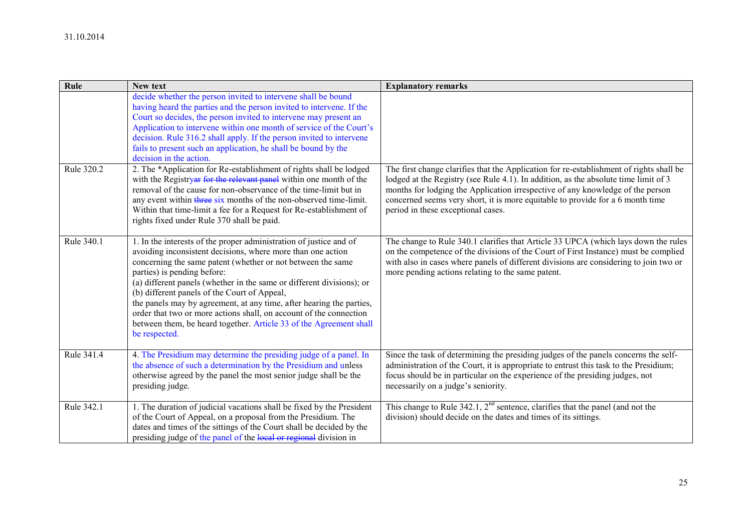| Rule       | New text                                                                                                                                                                                                                                                                                                                                                                                                                                                                                                                                                                                      | <b>Explanatory remarks</b>                                                                                                                                                                                                                                                                                                                                                               |
|------------|-----------------------------------------------------------------------------------------------------------------------------------------------------------------------------------------------------------------------------------------------------------------------------------------------------------------------------------------------------------------------------------------------------------------------------------------------------------------------------------------------------------------------------------------------------------------------------------------------|------------------------------------------------------------------------------------------------------------------------------------------------------------------------------------------------------------------------------------------------------------------------------------------------------------------------------------------------------------------------------------------|
|            | decide whether the person invited to intervene shall be bound<br>having heard the parties and the person invited to intervene. If the<br>Court so decides, the person invited to intervene may present an<br>Application to intervene within one month of service of the Court's<br>decision. Rule 316.2 shall apply. If the person invited to intervene<br>fails to present such an application, he shall be bound by the<br>decision in the action.                                                                                                                                         |                                                                                                                                                                                                                                                                                                                                                                                          |
| Rule 320.2 | 2. The *Application for Re-establishment of rights shall be lodged<br>with the Registryar for the relevant panel within one month of the<br>removal of the cause for non-observance of the time-limit but in<br>any event within three six months of the non-observed time-limit.<br>Within that time-limit a fee for a Request for Re-establishment of<br>rights fixed under Rule 370 shall be paid.                                                                                                                                                                                         | The first change clarifies that the Application for re-establishment of rights shall be<br>lodged at the Registry (see Rule 4.1). In addition, as the absolute time limit of 3<br>months for lodging the Application irrespective of any knowledge of the person<br>concerned seems very short, it is more equitable to provide for a 6 month time<br>period in these exceptional cases. |
| Rule 340.1 | 1. In the interests of the proper administration of justice and of<br>avoiding inconsistent decisions, where more than one action<br>concerning the same patent (whether or not between the same<br>parties) is pending before:<br>(a) different panels (whether in the same or different divisions); or<br>(b) different panels of the Court of Appeal,<br>the panels may by agreement, at any time, after hearing the parties,<br>order that two or more actions shall, on account of the connection<br>between them, be heard together. Article 33 of the Agreement shall<br>be respected. | The change to Rule 340.1 clarifies that Article 33 UPCA (which lays down the rules<br>on the competence of the divisions of the Court of First Instance) must be complied<br>with also in cases where panels of different divisions are considering to join two or<br>more pending actions relating to the same patent.                                                                  |
| Rule 341.4 | 4. The Presidium may determine the presiding judge of a panel. In<br>the absence of such a determination by the Presidium and unless<br>otherwise agreed by the panel the most senior judge shall be the<br>presiding judge.                                                                                                                                                                                                                                                                                                                                                                  | Since the task of determining the presiding judges of the panels concerns the self-<br>administration of the Court, it is appropriate to entrust this task to the Presidium;<br>focus should be in particular on the experience of the presiding judges, not<br>necessarily on a judge's seniority.                                                                                      |
| Rule 342.1 | 1. The duration of judicial vacations shall be fixed by the President<br>of the Court of Appeal, on a proposal from the Presidium. The<br>dates and times of the sittings of the Court shall be decided by the<br>presiding judge of the panel of the local or regional division in                                                                                                                                                                                                                                                                                                           | This change to Rule $342.1$ , $2nd$ sentence, clarifies that the panel (and not the<br>division) should decide on the dates and times of its sittings.                                                                                                                                                                                                                                   |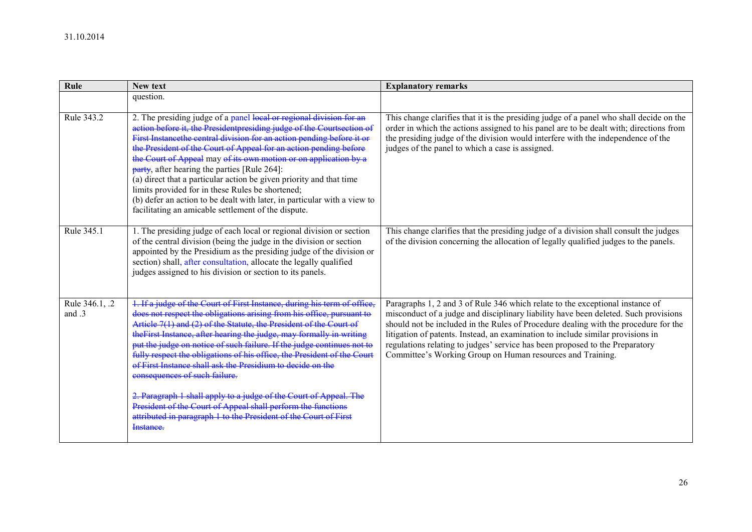| Rule                     | New text                                                                                                                                                                                                                                                                                                                                                                                                                                                                                                                                                                                                                                                                                                                                                                  | <b>Explanatory remarks</b>                                                                                                                                                                                                                                                                                                                                                                                                                                                                   |
|--------------------------|---------------------------------------------------------------------------------------------------------------------------------------------------------------------------------------------------------------------------------------------------------------------------------------------------------------------------------------------------------------------------------------------------------------------------------------------------------------------------------------------------------------------------------------------------------------------------------------------------------------------------------------------------------------------------------------------------------------------------------------------------------------------------|----------------------------------------------------------------------------------------------------------------------------------------------------------------------------------------------------------------------------------------------------------------------------------------------------------------------------------------------------------------------------------------------------------------------------------------------------------------------------------------------|
|                          | question.                                                                                                                                                                                                                                                                                                                                                                                                                                                                                                                                                                                                                                                                                                                                                                 |                                                                                                                                                                                                                                                                                                                                                                                                                                                                                              |
| Rule 343.2               | 2. The presiding judge of a panel local or regional division for an<br>action before it, the Presidentpresiding judge of the Courtsection of<br>First Instancethe central division for an action pending before it or<br>the President of the Court of Appeal for an action pending before<br>the Court of Appeal may of its own motion or on application by a<br>$party$ , after hearing the parties [Rule 264]:<br>(a) direct that a particular action be given priority and that time<br>limits provided for in these Rules be shortened;<br>(b) defer an action to be dealt with later, in particular with a view to<br>facilitating an amicable settlement of the dispute.                                                                                           | This change clarifies that it is the presiding judge of a panel who shall decide on the<br>order in which the actions assigned to his panel are to be dealt with; directions from<br>the presiding judge of the division would interfere with the independence of the<br>judges of the panel to which a case is assigned.                                                                                                                                                                    |
| Rule 345.1               | 1. The presiding judge of each local or regional division or section<br>of the central division (being the judge in the division or section<br>appointed by the Presidium as the presiding judge of the division or<br>section) shall, after consultation, allocate the legally qualified<br>judges assigned to his division or section to its panels.                                                                                                                                                                                                                                                                                                                                                                                                                    | This change clarifies that the presiding judge of a division shall consult the judges<br>of the division concerning the allocation of legally qualified judges to the panels.                                                                                                                                                                                                                                                                                                                |
| Rule 346.1, .2<br>and .3 | 1. If a judge of the Court of First Instance, during his term of office,<br>does not respect the obligations arising from his office, pursuant to<br>Article 7(1) and (2) of the Statute, the President of the Court of<br>the First Instance, after hearing the judge, may formally in writing<br>put the judge on notice of such failure. If the judge continues not to<br>fully respect the obligations of his office, the President of the Court<br>of First Instance shall ask the Presidium to decide on the<br>consequences of such failure.<br>2. Paragraph 1 shall apply to a judge of the Court of Appeal. The<br>President of the Court of Appeal shall perform the functions<br>attributed in paragraph 1 to the President of the Court of First<br>Instance. | Paragraphs 1, 2 and 3 of Rule 346 which relate to the exceptional instance of<br>misconduct of a judge and disciplinary liability have been deleted. Such provisions<br>should not be included in the Rules of Procedure dealing with the procedure for the<br>litigation of patents. Instead, an examination to include similar provisions in<br>regulations relating to judges' service has been proposed to the Preparatory<br>Committee's Working Group on Human resources and Training. |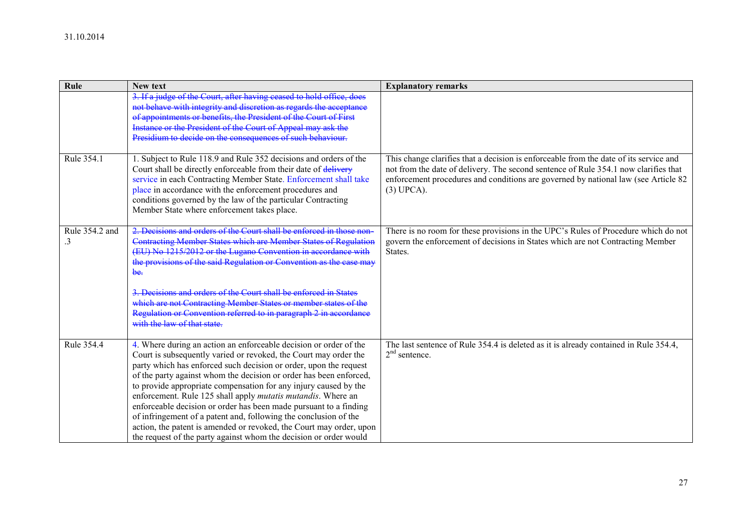| Rule                 | New text                                                                                                                                                                                                                                                                                                                                                                                                                                                                                                                                                                                                                                                                                                          | <b>Explanatory remarks</b>                                                                                                                                                                                                                                                          |
|----------------------|-------------------------------------------------------------------------------------------------------------------------------------------------------------------------------------------------------------------------------------------------------------------------------------------------------------------------------------------------------------------------------------------------------------------------------------------------------------------------------------------------------------------------------------------------------------------------------------------------------------------------------------------------------------------------------------------------------------------|-------------------------------------------------------------------------------------------------------------------------------------------------------------------------------------------------------------------------------------------------------------------------------------|
|                      | 3. If a judge of the Court, after having ceased to hold office, does<br>not behave with integrity and discretion as regards the acceptance<br>of appointments or benefits, the President of the Court of First<br>Instance or the President of the Court of Appeal may ask the<br>Presidium to decide on the consequences of such behaviour.                                                                                                                                                                                                                                                                                                                                                                      |                                                                                                                                                                                                                                                                                     |
| Rule 354.1           | 1. Subject to Rule 118.9 and Rule 352 decisions and orders of the<br>Court shall be directly enforceable from their date of delivery<br>service in each Contracting Member State. Enforcement shall take<br>place in accordance with the enforcement procedures and<br>conditions governed by the law of the particular Contracting<br>Member State where enforcement takes place.                                                                                                                                                                                                                                                                                                                                | This change clarifies that a decision is enforceable from the date of its service and<br>not from the date of delivery. The second sentence of Rule 354.1 now clarifies that<br>enforcement procedures and conditions are governed by national law (see Article 82)<br>$(3)$ UPCA). |
| Rule 354.2 and<br>.3 | orders of the Court shall be enforced in those non<br>Contracting Member States which are Member States of Regulation<br>(EU) No. 1215/2012 or the Lugano Convention in accordance with<br>the provisions of the said Regulation or Convention as the case may<br><del>be.</del><br>3. Decisions and orders of the Court shall be enforced in States<br>which are not Contracting Member States or member states of the<br>Regulation or Convention referred to in paragraph 2 in accordance<br>with the law of that state                                                                                                                                                                                        | There is no room for these provisions in the UPC's Rules of Procedure which do not<br>govern the enforcement of decisions in States which are not Contracting Member<br>States.                                                                                                     |
| Rule 354.4           | 4. Where during an action an enforceable decision or order of the<br>Court is subsequently varied or revoked, the Court may order the<br>party which has enforced such decision or order, upon the request<br>of the party against whom the decision or order has been enforced,<br>to provide appropriate compensation for any injury caused by the<br>enforcement. Rule 125 shall apply <i>mutatis mutandis</i> . Where an<br>enforceable decision or order has been made pursuant to a finding<br>of infringement of a patent and, following the conclusion of the<br>action, the patent is amended or revoked, the Court may order, upon<br>the request of the party against whom the decision or order would | The last sentence of Rule 354.4 is deleted as it is already contained in Rule 354.4,<br>$2nd$ sentence.                                                                                                                                                                             |